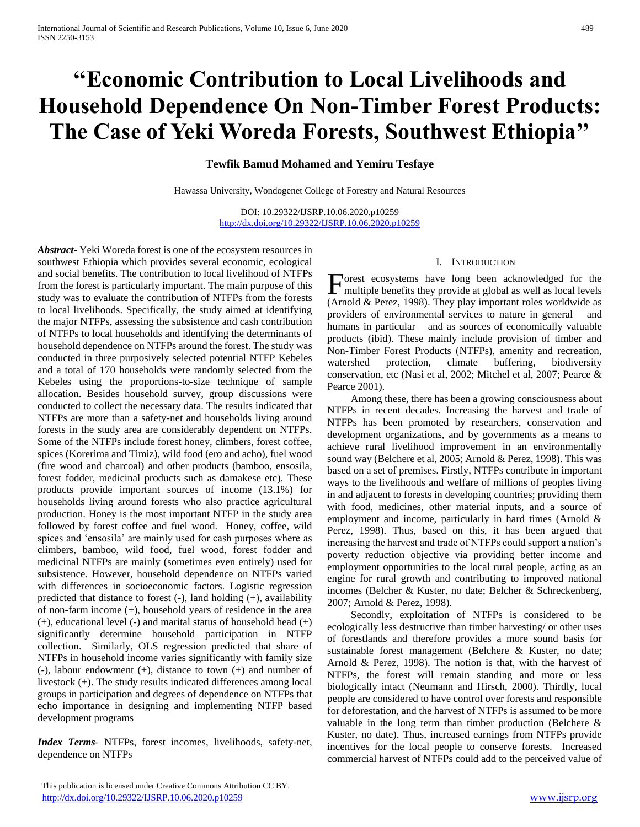# **''Economic Contribution to Local Livelihoods and Household Dependence On Non-Timber Forest Products: The Case of Yeki Woreda Forests, Southwest Ethiopia''**

# **Tewfik Bamud Mohamed and Yemiru Tesfaye**

Hawassa University, Wondogenet College of Forestry and Natural Resources

DOI: 10.29322/IJSRP.10.06.2020.p10259 <http://dx.doi.org/10.29322/IJSRP.10.06.2020.p10259>

*Abstract***-** Yeki Woreda forest is one of the ecosystem resources in southwest Ethiopia which provides several economic, ecological and social benefits. The contribution to local livelihood of NTFPs from the forest is particularly important. The main purpose of this study was to evaluate the contribution of NTFPs from the forests to local livelihoods. Specifically, the study aimed at identifying the major NTFPs, assessing the subsistence and cash contribution of NTFPs to local households and identifying the determinants of household dependence on NTFPs around the forest. The study was conducted in three purposively selected potential NTFP Kebeles and a total of 170 households were randomly selected from the Kebeles using the proportions-to-size technique of sample allocation. Besides household survey, group discussions were conducted to collect the necessary data. The results indicated that NTFPs are more than a safety-net and households living around forests in the study area are considerably dependent on NTFPs. Some of the NTFPs include forest honey, climbers, forest coffee, spices (Korerima and Timiz), wild food (ero and acho), fuel wood (fire wood and charcoal) and other products (bamboo, ensosila, forest fodder, medicinal products such as damakese etc). These products provide important sources of income (13.1%) for households living around forests who also practice agricultural production. Honey is the most important NTFP in the study area followed by forest coffee and fuel wood. Honey, coffee, wild spices and 'ensosila' are mainly used for cash purposes where as climbers, bamboo, wild food, fuel wood, forest fodder and medicinal NTFPs are mainly (sometimes even entirely) used for subsistence. However, household dependence on NTFPs varied with differences in socioeconomic factors. Logistic regression predicted that distance to forest (-), land holding (+), availability of non-farm income (+), household years of residence in the area  $(+)$ , educational level  $(-)$  and marital status of household head  $(+)$ significantly determine household participation in NTFP collection. Similarly, OLS regression predicted that share of NTFPs in household income varies significantly with family size (-), labour endowment (+), distance to town (+) and number of livestock (+). The study results indicated differences among local groups in participation and degrees of dependence on NTFPs that echo importance in designing and implementing NTFP based development programs

*Index Terms*- NTFPs, forest incomes, livelihoods, safety-net, dependence on NTFPs

#### I. INTRODUCTION

orest ecosystems have long been acknowledged for the Forest ecosystems have long been acknowledged for the multiple benefits they provide at global as well as local levels (Arnold & Perez, 1998). They play important roles worldwide as providers of environmental services to nature in general – and humans in particular – and as sources of economically valuable products (ibid). These mainly include provision of timber and Non-Timber Forest Products (NTFPs), amenity and recreation, watershed protection, climate buffering, biodiversity conservation, etc (Nasi et al, 2002; Mitchel et al, 2007; Pearce & Pearce 2001).

 Among these, there has been a growing consciousness about NTFPs in recent decades. Increasing the harvest and trade of NTFPs has been promoted by researchers, conservation and development organizations, and by governments as a means to achieve rural livelihood improvement in an environmentally sound way (Belchere et al, 2005; Arnold & Perez, 1998). This was based on a set of premises. Firstly, NTFPs contribute in important ways to the livelihoods and welfare of millions of peoples living in and adjacent to forests in developing countries; providing them with food, medicines, other material inputs, and a source of employment and income, particularly in hard times (Arnold & Perez, 1998). Thus, based on this, it has been argued that increasing the harvest and trade of NTFPs could support a nation's poverty reduction objective via providing better income and employment opportunities to the local rural people, acting as an engine for rural growth and contributing to improved national incomes (Belcher & Kuster, no date; Belcher & Schreckenberg, 2007; Arnold & Perez, 1998).

 Secondly, exploitation of NTFPs is considered to be ecologically less destructive than timber harvesting/ or other uses of forestlands and therefore provides a more sound basis for sustainable forest management (Belchere & Kuster, no date; Arnold & Perez, 1998). The notion is that, with the harvest of NTFPs, the forest will remain standing and more or less biologically intact (Neumann and Hirsch, 2000). Thirdly, local people are considered to have control over forests and responsible for deforestation, and the harvest of NTFPs is assumed to be more valuable in the long term than timber production (Belchere & Kuster, no date). Thus, increased earnings from NTFPs provide incentives for the local people to conserve forests. Increased commercial harvest of NTFPs could add to the perceived value of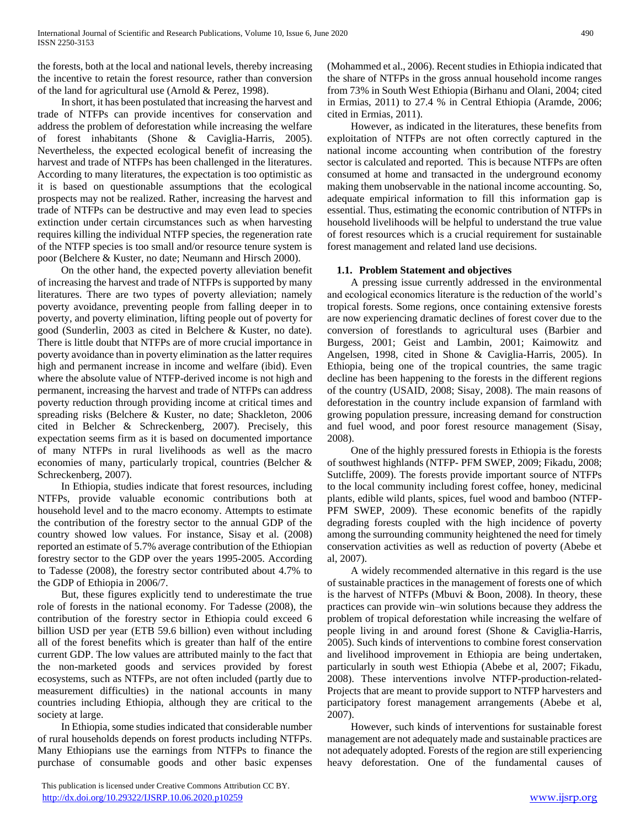the forests, both at the local and national levels, thereby increasing the incentive to retain the forest resource, rather than conversion of the land for agricultural use (Arnold & Perez, 1998).

 In short, it has been postulated that increasing the harvest and trade of NTFPs can provide incentives for conservation and address the problem of deforestation while increasing the welfare of forest inhabitants (Shone & Caviglia-Harris, 2005). Nevertheless, the expected ecological benefit of increasing the harvest and trade of NTFPs has been challenged in the literatures. According to many literatures, the expectation is too optimistic as it is based on questionable assumptions that the ecological prospects may not be realized. Rather, increasing the harvest and trade of NTFPs can be destructive and may even lead to species extinction under certain circumstances such as when harvesting requires killing the individual NTFP species, the regeneration rate of the NTFP species is too small and/or resource tenure system is poor (Belchere & Kuster, no date; Neumann and Hirsch 2000).

 On the other hand, the expected poverty alleviation benefit of increasing the harvest and trade of NTFPs is supported by many literatures. There are two types of poverty alleviation; namely poverty avoidance, preventing people from falling deeper in to poverty, and poverty elimination, lifting people out of poverty for good (Sunderlin, 2003 as cited in Belchere & Kuster, no date). There is little doubt that NTFPs are of more crucial importance in poverty avoidance than in poverty elimination as the latter requires high and permanent increase in income and welfare (ibid). Even where the absolute value of NTFP-derived income is not high and permanent, increasing the harvest and trade of NTFPs can address poverty reduction through providing income at critical times and spreading risks (Belchere & Kuster, no date; Shackleton, 2006 cited in Belcher & Schreckenberg, 2007). Precisely, this expectation seems firm as it is based on documented importance of many NTFPs in rural livelihoods as well as the macro economies of many, particularly tropical, countries (Belcher & Schreckenberg, 2007).

 In Ethiopia, studies indicate that forest resources, including NTFPs, provide valuable economic contributions both at household level and to the macro economy. Attempts to estimate the contribution of the forestry sector to the annual GDP of the country showed low values. For instance, Sisay et al. (2008) reported an estimate of 5.7% average contribution of the Ethiopian forestry sector to the GDP over the years 1995-2005. According to Tadesse (2008), the forestry sector contributed about 4.7% to the GDP of Ethiopia in 2006/7.

 But, these figures explicitly tend to underestimate the true role of forests in the national economy. For Tadesse (2008), the contribution of the forestry sector in Ethiopia could exceed 6 billion USD per year (ETB 59.6 billion) even without including all of the forest benefits which is greater than half of the entire current GDP. The low values are attributed mainly to the fact that the non-marketed goods and services provided by forest ecosystems, such as NTFPs, are not often included (partly due to measurement difficulties) in the national accounts in many countries including Ethiopia, although they are critical to the society at large.

 In Ethiopia, some studies indicated that considerable number of rural households depends on forest products including NTFPs. Many Ethiopians use the earnings from NTFPs to finance the purchase of consumable goods and other basic expenses

(Mohammed et al., 2006). Recent studies in Ethiopia indicated that the share of NTFPs in the gross annual household income ranges from 73% in South West Ethiopia (Birhanu and Olani, 2004; cited in Ermias, 2011) to 27.4 % in Central Ethiopia (Aramde, 2006; cited in Ermias, 2011).

 However, as indicated in the literatures, these benefits from exploitation of NTFPs are not often correctly captured in the national income accounting when contribution of the forestry sector is calculated and reported. This is because NTFPs are often consumed at home and transacted in the underground economy making them unobservable in the national income accounting. So, adequate empirical information to fill this information gap is essential. Thus, estimating the economic contribution of NTFPs in household livelihoods will be helpful to understand the true value of forest resources which is a crucial requirement for sustainable forest management and related land use decisions.

## **1.1. Problem Statement and objectives**

 A pressing issue currently addressed in the environmental and ecological economics literature is the reduction of the world's tropical forests. Some regions, once containing extensive forests are now experiencing dramatic declines of forest cover due to the conversion of forestlands to agricultural uses (Barbier and Burgess, 2001; Geist and Lambin, 2001; Kaimowitz and Angelsen, 1998, cited in Shone & Caviglia-Harris, 2005). In Ethiopia, being one of the tropical countries, the same tragic decline has been happening to the forests in the different regions of the country (USAID, 2008; Sisay, 2008). The main reasons of deforestation in the country include expansion of farmland with growing population pressure, increasing demand for construction and fuel wood, and poor forest resource management (Sisay, 2008).

 One of the highly pressured forests in Ethiopia is the forests of southwest highlands (NTFP- PFM SWEP, 2009; Fikadu, 2008; Sutcliffe, 2009). The forests provide important source of NTFPs to the local community including forest coffee, honey, medicinal plants, edible wild plants, spices, fuel wood and bamboo (NTFP-PFM SWEP, 2009). These economic benefits of the rapidly degrading forests coupled with the high incidence of poverty among the surrounding community heightened the need for timely conservation activities as well as reduction of poverty (Abebe et al, 2007).

 A widely recommended alternative in this regard is the use of sustainable practices in the management of forests one of which is the harvest of NTFPs (Mbuvi & Boon, 2008). In theory, these practices can provide win–win solutions because they address the problem of tropical deforestation while increasing the welfare of people living in and around forest (Shone & Caviglia-Harris, 2005). Such kinds of interventions to combine forest conservation and livelihood improvement in Ethiopia are being undertaken, particularly in south west Ethiopia (Abebe et al, 2007; Fikadu, 2008). These interventions involve NTFP-production-related-Projects that are meant to provide support to NTFP harvesters and participatory forest management arrangements (Abebe et al, 2007).

 However, such kinds of interventions for sustainable forest management are not adequately made and sustainable practices are not adequately adopted. Forests of the region are still experiencing heavy deforestation. One of the fundamental causes of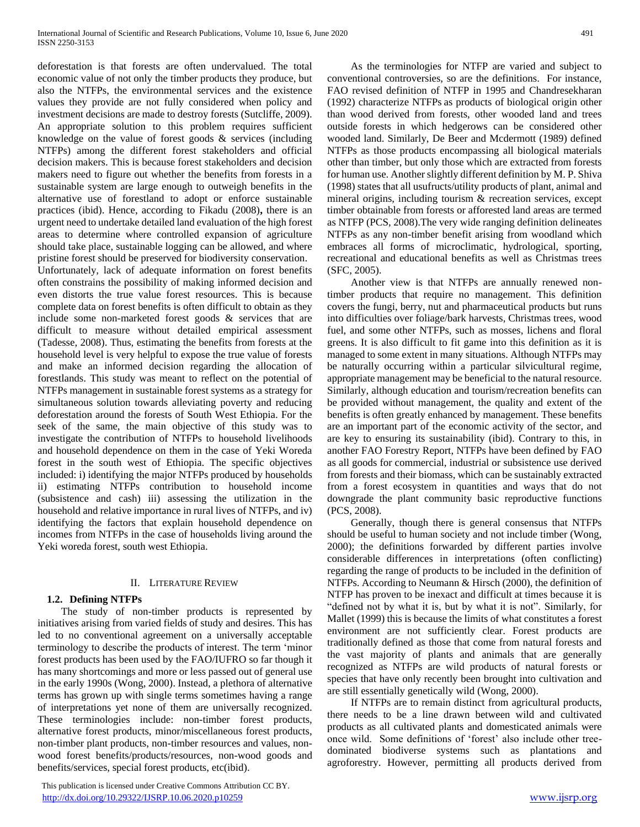deforestation is that forests are often undervalued. The total economic value of not only the timber products they produce, but also the NTFPs, the environmental services and the existence values they provide are not fully considered when policy and investment decisions are made to destroy forests (Sutcliffe, 2009). An appropriate solution to this problem requires sufficient knowledge on the value of forest goods & services (including NTFPs) among the different forest stakeholders and official decision makers. This is because forest stakeholders and decision makers need to figure out whether the benefits from forests in a sustainable system are large enough to outweigh benefits in the alternative use of forestland to adopt or enforce sustainable practices (ibid). Hence, according to Fikadu (2008)**,** there is an urgent need to undertake detailed land evaluation of the high forest areas to determine where controlled expansion of agriculture should take place, sustainable logging can be allowed, and where pristine forest should be preserved for biodiversity conservation.

Unfortunately, lack of adequate information on forest benefits often constrains the possibility of making informed decision and even distorts the true value forest resources. This is because complete data on forest benefits is often difficult to obtain as they include some non-marketed forest goods & services that are difficult to measure without detailed empirical assessment (Tadesse, 2008). Thus, estimating the benefits from forests at the household level is very helpful to expose the true value of forests and make an informed decision regarding the allocation of forestlands. This study was meant to reflect on the potential of NTFPs management in sustainable forest systems as a strategy for simultaneous solution towards alleviating poverty and reducing deforestation around the forests of South West Ethiopia. For the seek of the same, the main objective of this study was to investigate the contribution of NTFPs to household livelihoods and household dependence on them in the case of Yeki Woreda forest in the south west of Ethiopia. The specific objectives included: i) identifying the major NTFPs produced by households ii) estimating NTFPs contribution to household income (subsistence and cash) iii) assessing the utilization in the household and relative importance in rural lives of NTFPs, and iv) identifying the factors that explain household dependence on incomes from NTFPs in the case of households living around the Yeki woreda forest, south west Ethiopia.

## II. LITERATURE REVIEW

## **1.2. Defining NTFPs**

 The study of non-timber products is represented by initiatives arising from varied fields of study and desires. This has led to no conventional agreement on a universally acceptable terminology to describe the products of interest. The term 'minor forest products has been used by the FAO/IUFRO so far though it has many shortcomings and more or less passed out of general use in the early 1990s (Wong, 2000). Instead, a plethora of alternative terms has grown up with single terms sometimes having a range of interpretations yet none of them are universally recognized. These terminologies include: non-timber forest products, alternative forest products, minor/miscellaneous forest products, non-timber plant products, non-timber resources and values, nonwood forest benefits/products/resources, non-wood goods and benefits/services, special forest products, etc(ibid).

 This publication is licensed under Creative Commons Attribution CC BY. <http://dx.doi.org/10.29322/IJSRP.10.06.2020.p10259> [www.ijsrp.org](http://ijsrp.org/)

 As the terminologies for NTFP are varied and subject to conventional controversies, so are the definitions. For instance, FAO revised definition of NTFP in 1995 and Chandresekharan (1992) characterize NTFPs as products of biological origin other than wood derived from forests, other wooded land and trees outside forests in which hedgerows can be considered other wooded land. Similarly, De Beer and Mcdermott (1989) defined NTFPs as those products encompassing all biological materials other than timber, but only those which are extracted from forests for human use. Another slightly different definition by M. P. Shiva (1998) states that all usufructs/utility products of plant, animal and mineral origins, including tourism & recreation services, except timber obtainable from forests or afforested land areas are termed as NTFP (PCS, 2008).The very wide ranging definition delineates NTFPs as any non-timber benefit arising from woodland which embraces all forms of microclimatic, hydrological, sporting, recreational and educational benefits as well as Christmas trees (SFC, 2005).

 Another view is that NTFPs are annually renewed nontimber products that require no management. This definition covers the fungi, berry, nut and pharmaceutical products but runs into difficulties over foliage/bark harvests, Christmas trees, wood fuel, and some other NTFPs, such as mosses, lichens and floral greens. It is also difficult to fit game into this definition as it is managed to some extent in many situations. Although NTFPs may be naturally occurring within a particular silvicultural regime, appropriate management may be beneficial to the natural resource. Similarly, although education and tourism/recreation benefits can be provided without management, the quality and extent of the benefits is often greatly enhanced by management. These benefits are an important part of the economic activity of the sector, and are key to ensuring its sustainability (ibid). Contrary to this, in another FAO Forestry Report, NTFPs have been defined by FAO as all goods for commercial, industrial or subsistence use derived from forests and their biomass, which can be sustainably extracted from a forest ecosystem in quantities and ways that do not downgrade the plant community basic reproductive functions (PCS, 2008).

 Generally, though there is general consensus that NTFPs should be useful to human society and not include timber (Wong, 2000); the definitions forwarded by different parties involve considerable differences in interpretations (often conflicting) regarding the range of products to be included in the definition of NTFPs. According to Neumann & Hirsch (2000), the definition of NTFP has proven to be inexact and difficult at times because it is "defined not by what it is, but by what it is not". Similarly, for Mallet (1999) this is because the limits of what constitutes a forest environment are not sufficiently clear. Forest products are traditionally defined as those that come from natural forests and the vast majority of plants and animals that are generally recognized as NTFPs are wild products of natural forests or species that have only recently been brought into cultivation and are still essentially genetically wild (Wong, 2000).

 If NTFPs are to remain distinct from agricultural products, there needs to be a line drawn between wild and cultivated products as all cultivated plants and domesticated animals were once wild. Some definitions of 'forest' also include other treedominated biodiverse systems such as plantations and agroforestry. However, permitting all products derived from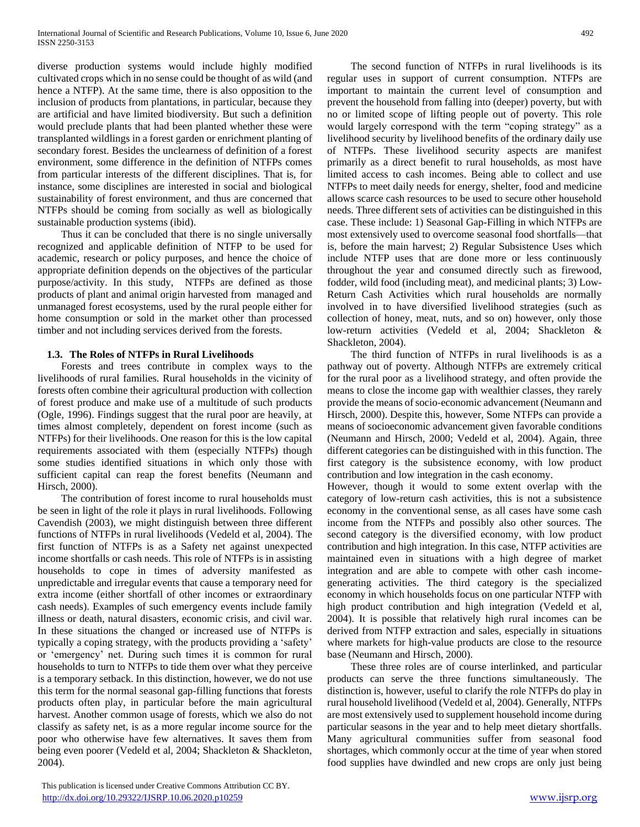diverse production systems would include highly modified cultivated crops which in no sense could be thought of as wild (and hence a NTFP). At the same time, there is also opposition to the inclusion of products from plantations, in particular, because they are artificial and have limited biodiversity. But such a definition would preclude plants that had been planted whether these were transplanted wildlings in a forest garden or enrichment planting of secondary forest. Besides the unclearness of definition of a forest environment, some difference in the definition of NTFPs comes from particular interests of the different disciplines. That is, for instance, some disciplines are interested in social and biological sustainability of forest environment, and thus are concerned that NTFPs should be coming from socially as well as biologically sustainable production systems (ibid).

 Thus it can be concluded that there is no single universally recognized and applicable definition of NTFP to be used for academic, research or policy purposes, and hence the choice of appropriate definition depends on the objectives of the particular purpose/activity. In this study, NTFPs are defined as those products of plant and animal origin harvested from managed and unmanaged forest ecosystems, used by the rural people either for home consumption or sold in the market other than processed timber and not including services derived from the forests.

# **1.3. The Roles of NTFPs in Rural Livelihoods**

 Forests and trees contribute in complex ways to the livelihoods of rural families. Rural households in the vicinity of forests often combine their agricultural production with collection of forest produce and make use of a multitude of such products (Ogle, 1996). Findings suggest that the rural poor are heavily, at times almost completely, dependent on forest income (such as NTFPs) for their livelihoods. One reason for this is the low capital requirements associated with them (especially NTFPs) though some studies identified situations in which only those with sufficient capital can reap the forest benefits (Neumann and Hirsch, 2000).

 The contribution of forest income to rural households must be seen in light of the role it plays in rural livelihoods. Following Cavendish (2003), we might distinguish between three different functions of NTFPs in rural livelihoods (Vedeld et al, 2004). The first function of NTFPs is as a Safety net against unexpected income shortfalls or cash needs. This role of NTFPs is in assisting households to cope in times of adversity manifested as unpredictable and irregular events that cause a temporary need for extra income (either shortfall of other incomes or extraordinary cash needs). Examples of such emergency events include family illness or death, natural disasters, economic crisis, and civil war. In these situations the changed or increased use of NTFPs is typically a coping strategy, with the products providing a 'safety' or 'emergency' net. During such times it is common for rural households to turn to NTFPs to tide them over what they perceive is a temporary setback. In this distinction, however, we do not use this term for the normal seasonal gap-filling functions that forests products often play, in particular before the main agricultural harvest. Another common usage of forests, which we also do not classify as safety net, is as a more regular income source for the poor who otherwise have few alternatives. It saves them from being even poorer (Vedeld et al, 2004; Shackleton & Shackleton, 2004).

 The second function of NTFPs in rural livelihoods is its regular uses in support of current consumption. NTFPs are important to maintain the current level of consumption and prevent the household from falling into (deeper) poverty, but with no or limited scope of lifting people out of poverty. This role would largely correspond with the term "coping strategy" as a livelihood security by livelihood benefits of the ordinary daily use of NTFPs. These livelihood security aspects are manifest primarily as a direct benefit to rural households, as most have limited access to cash incomes. Being able to collect and use NTFPs to meet daily needs for energy, shelter, food and medicine allows scarce cash resources to be used to secure other household needs. Three different sets of activities can be distinguished in this case. These include: 1) Seasonal Gap-Filling in which NTFPs are most extensively used to overcome seasonal food shortfalls—that is, before the main harvest; 2) Regular Subsistence Uses which include NTFP uses that are done more or less continuously throughout the year and consumed directly such as firewood, fodder, wild food (including meat), and medicinal plants; 3) Low-Return Cash Activities which rural households are normally involved in to have diversified livelihood strategies (such as collection of honey, meat, nuts, and so on) however, only those low-return activities (Vedeld et al, 2004; Shackleton & Shackleton, 2004).

 The third function of NTFPs in rural livelihoods is as a pathway out of poverty. Although NTFPs are extremely critical for the rural poor as a livelihood strategy, and often provide the means to close the income gap with wealthier classes, they rarely provide the means of socio-economic advancement (Neumann and Hirsch, 2000). Despite this, however, Some NTFPs can provide a means of socioeconomic advancement given favorable conditions (Neumann and Hirsch, 2000; Vedeld et al, 2004). Again, three different categories can be distinguished with in this function. The first category is the subsistence economy, with low product contribution and low integration in the cash economy.

However, though it would to some extent overlap with the category of low-return cash activities, this is not a subsistence economy in the conventional sense, as all cases have some cash income from the NTFPs and possibly also other sources. The second category is the diversified economy, with low product contribution and high integration. In this case, NTFP activities are maintained even in situations with a high degree of market integration and are able to compete with other cash incomegenerating activities. The third category is the specialized economy in which households focus on one particular NTFP with high product contribution and high integration (Vedeld et al, 2004). It is possible that relatively high rural incomes can be derived from NTFP extraction and sales, especially in situations where markets for high-value products are close to the resource base (Neumann and Hirsch, 2000).

 These three roles are of course interlinked, and particular products can serve the three functions simultaneously. The distinction is, however, useful to clarify the role NTFPs do play in rural household livelihood (Vedeld et al, 2004). Generally, NTFPs are most extensively used to supplement household income during particular seasons in the year and to help meet dietary shortfalls. Many agricultural communities suffer from seasonal food shortages, which commonly occur at the time of year when stored food supplies have dwindled and new crops are only just being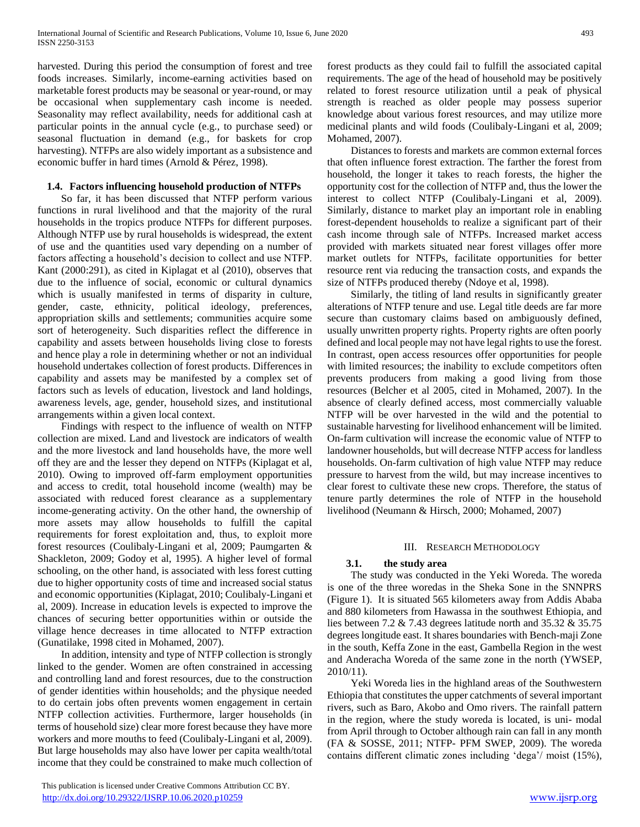harvested. During this period the consumption of forest and tree foods increases. Similarly, income-earning activities based on marketable forest products may be seasonal or year-round, or may be occasional when supplementary cash income is needed. Seasonality may reflect availability, needs for additional cash at particular points in the annual cycle (e.g., to purchase seed) or seasonal fluctuation in demand (e.g., for baskets for crop harvesting). NTFPs are also widely important as a subsistence and economic buffer in hard times (Arnold & Pérez, 1998).

# **1.4. Factors influencing household production of NTFPs**

 So far, it has been discussed that NTFP perform various functions in rural livelihood and that the majority of the rural households in the tropics produce NTFPs for different purposes. Although NTFP use by rural households is widespread, the extent of use and the quantities used vary depending on a number of factors affecting a household's decision to collect and use NTFP. Kant (2000:291), as cited in Kiplagat et al (2010), observes that due to the influence of social, economic or cultural dynamics which is usually manifested in terms of disparity in culture, gender, caste, ethnicity, political ideology, preferences, appropriation skills and settlements; communities acquire some sort of heterogeneity. Such disparities reflect the difference in capability and assets between households living close to forests and hence play a role in determining whether or not an individual household undertakes collection of forest products. Differences in capability and assets may be manifested by a complex set of factors such as levels of education, livestock and land holdings, awareness levels, age, gender, household sizes, and institutional arrangements within a given local context.

 Findings with respect to the influence of wealth on NTFP collection are mixed. Land and livestock are indicators of wealth and the more livestock and land households have, the more well off they are and the lesser they depend on NTFPs (Kiplagat et al, 2010). Owing to improved off-farm employment opportunities and access to credit, total household income (wealth) may be associated with reduced forest clearance as a supplementary income-generating activity. On the other hand, the ownership of more assets may allow households to fulfill the capital requirements for forest exploitation and, thus, to exploit more forest resources (Coulibaly-Lingani et al, 2009; Paumgarten & Shackleton, 2009; Godoy et al, 1995). A higher level of formal schooling, on the other hand, is associated with less forest cutting due to higher opportunity costs of time and increased social status and economic opportunities (Kiplagat, 2010; Coulibaly-Lingani et al, 2009). Increase in education levels is expected to improve the chances of securing better opportunities within or outside the village hence decreases in time allocated to NTFP extraction (Gunatilake, 1998 cited in Mohamed, 2007).

 In addition, intensity and type of NTFP collection is strongly linked to the gender. Women are often constrained in accessing and controlling land and forest resources, due to the construction of gender identities within households; and the physique needed to do certain jobs often prevents women engagement in certain NTFP collection activities. Furthermore, larger households (in terms of household size) clear more forest because they have more workers and more mouths to feed (Coulibaly-Lingani et al, 2009). But large households may also have lower per capita wealth/total income that they could be constrained to make much collection of

 This publication is licensed under Creative Commons Attribution CC BY. <http://dx.doi.org/10.29322/IJSRP.10.06.2020.p10259> [www.ijsrp.org](http://ijsrp.org/)

forest products as they could fail to fulfill the associated capital requirements. The age of the head of household may be positively related to forest resource utilization until a peak of physical strength is reached as older people may possess superior knowledge about various forest resources, and may utilize more medicinal plants and wild foods (Coulibaly-Lingani et al, 2009; Mohamed, 2007).

 Distances to forests and markets are common external forces that often influence forest extraction. The farther the forest from household, the longer it takes to reach forests, the higher the opportunity cost for the collection of NTFP and, thus the lower the interest to collect NTFP (Coulibaly-Lingani et al, 2009). Similarly, distance to market play an important role in enabling forest-dependent households to realize a significant part of their cash income through sale of NTFPs. Increased market access provided with markets situated near forest villages offer more market outlets for NTFPs, facilitate opportunities for better resource rent via reducing the transaction costs, and expands the size of NTFPs produced thereby (Ndoye et al, 1998).

 Similarly, the titling of land results in significantly greater alterations of NTFP tenure and use. Legal title deeds are far more secure than customary claims based on ambiguously defined, usually unwritten property rights. Property rights are often poorly defined and local people may not have legal rights to use the forest. In contrast, open access resources offer opportunities for people with limited resources; the inability to exclude competitors often prevents producers from making a good living from those resources (Belcher et al 2005, cited in Mohamed, 2007). In the absence of clearly defined access, most commercially valuable NTFP will be over harvested in the wild and the potential to sustainable harvesting for livelihood enhancement will be limited. On-farm cultivation will increase the economic value of NTFP to landowner households, but will decrease NTFP access for landless households. On-farm cultivation of high value NTFP may reduce pressure to harvest from the wild, but may increase incentives to clear forest to cultivate these new crops. Therefore, the status of tenure partly determines the role of NTFP in the household livelihood (Neumann & Hirsch, 2000; Mohamed, 2007)

## III. RESEARCH METHODOLOGY

# **3.1. the study area**

 The study was conducted in the Yeki Woreda. The woreda is one of the three woredas in the Sheka Sone in the SNNPRS (Figure 1). It is situated 565 kilometers away from Addis Ababa and 880 kilometers from Hawassa in the southwest Ethiopia, and lies between 7.2 & 7.43 degrees latitude north and 35.32 & 35.75 degrees longitude east. It shares boundaries with Bench-maji Zone in the south, Keffa Zone in the east, Gambella Region in the west and Anderacha Woreda of the same zone in the north (YWSEP, 2010/11).

 Yeki Woreda lies in the highland areas of the Southwestern Ethiopia that constitutes the upper catchments of several important rivers, such as Baro, Akobo and Omo rivers. The rainfall pattern in the region, where the study woreda is located, is uni- modal from April through to October although rain can fall in any month (FA & SOSSE, 2011; NTFP- PFM SWEP, 2009). The woreda contains different climatic zones including 'dega'/ moist (15%),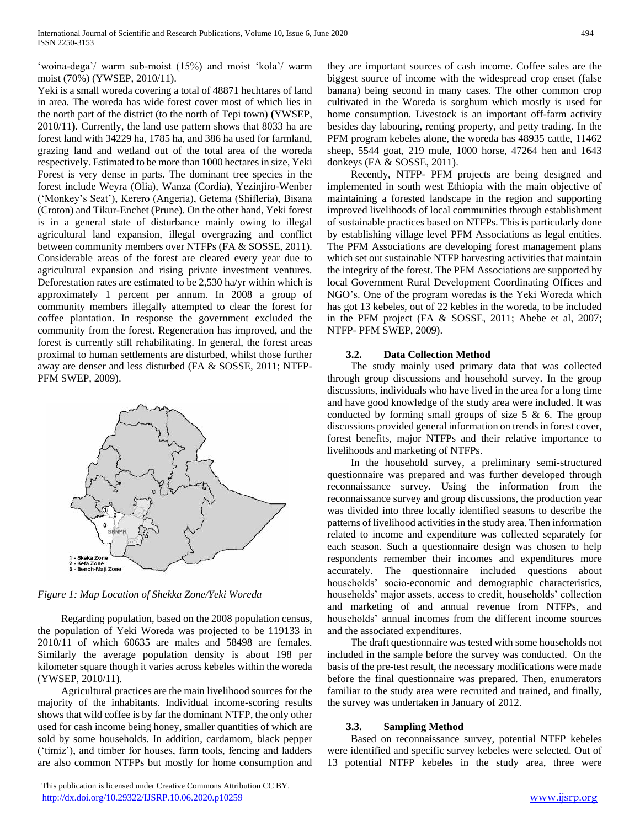'woina-dega'/ warm sub-moist (15%) and moist 'kola'/ warm moist (70%) (YWSEP, 2010/11).

Yeki is a small woreda covering a total of 48871 hechtares of land in area. The woreda has wide forest cover most of which lies in the north part of the district (to the north of Tepi town) **(**YWSEP, 2010/11**)**. Currently, the land use pattern shows that 8033 ha are forest land with 34229 ha, 1785 ha, and 386 ha used for farmland, grazing land and wetland out of the total area of the woreda respectively. Estimated to be more than 1000 hectares in size, Yeki Forest is very dense in parts. The dominant tree species in the forest include Weyra (Olia), Wanza (Cordia), Yezinjiro-Wenber ('Monkey's Seat'), Kerero (Angeria), Getema (Shifleria), Bisana (Croton) and Tikur-Enchet (Prune). On the other hand, Yeki forest is in a general state of disturbance mainly owing to illegal agricultural land expansion, illegal overgrazing and conflict between community members over NTFPs (FA & SOSSE, 2011). Considerable areas of the forest are cleared every year due to agricultural expansion and rising private investment ventures. Deforestation rates are estimated to be 2,530 ha/yr within which is approximately 1 percent per annum. In 2008 a group of community members illegally attempted to clear the forest for coffee plantation. In response the government excluded the community from the forest. Regeneration has improved, and the forest is currently still rehabilitating. In general, the forest areas proximal to human settlements are disturbed, whilst those further away are denser and less disturbed (FA & SOSSE, 2011; NTFP-PFM SWEP, 2009).



*Figure 1: Map Location of Shekka Zone/Yeki Woreda*

 Regarding population, based on the 2008 population census, the population of Yeki Woreda was projected to be 119133 in 2010/11 of which 60635 are males and 58498 are females. Similarly the average population density is about 198 per kilometer square though it varies across kebeles within the woreda (YWSEP, 2010/11).

 Agricultural practices are the main livelihood sources for the majority of the inhabitants. Individual income-scoring results shows that wild coffee is by far the dominant NTFP, the only other used for cash income being honey, smaller quantities of which are sold by some households. In addition, cardamom, black pepper ('timiz'), and timber for houses, farm tools, fencing and ladders are also common NTFPs but mostly for home consumption and

 This publication is licensed under Creative Commons Attribution CC BY. <http://dx.doi.org/10.29322/IJSRP.10.06.2020.p10259> [www.ijsrp.org](http://ijsrp.org/)

they are important sources of cash income. Coffee sales are the biggest source of income with the widespread crop enset (false banana) being second in many cases. The other common crop cultivated in the Woreda is sorghum which mostly is used for home consumption. Livestock is an important off-farm activity besides day labouring, renting property, and petty trading. In the PFM program kebeles alone, the woreda has 48935 cattle, 11462 sheep, 5544 goat, 219 mule, 1000 horse, 47264 hen and 1643 donkeys (FA & SOSSE, 2011).

 Recently, NTFP- PFM projects are being designed and implemented in south west Ethiopia with the main objective of maintaining a forested landscape in the region and supporting improved livelihoods of local communities through establishment of sustainable practices based on NTFPs. This is particularly done by establishing village level PFM Associations as legal entities. The PFM Associations are developing forest management plans which set out sustainable NTFP harvesting activities that maintain the integrity of the forest. The PFM Associations are supported by local Government Rural Development Coordinating Offices and NGO's. One of the program woredas is the Yeki Woreda which has got 13 kebeles, out of 22 kebles in the woreda, to be included in the PFM project (FA & SOSSE, 2011; Abebe et al, 2007; NTFP- PFM SWEP, 2009).

## **3.2. Data Collection Method**

 The study mainly used primary data that was collected through group discussions and household survey. In the group discussions, individuals who have lived in the area for a long time and have good knowledge of the study area were included. It was conducted by forming small groups of size  $5 \& 6$ . The group discussions provided general information on trends in forest cover, forest benefits, major NTFPs and their relative importance to livelihoods and marketing of NTFPs.

 In the household survey, a preliminary semi-structured questionnaire was prepared and was further developed through reconnaissance survey. Using the information from the reconnaissance survey and group discussions, the production year was divided into three locally identified seasons to describe the patterns of livelihood activities in the study area. Then information related to income and expenditure was collected separately for each season. Such a questionnaire design was chosen to help respondents remember their incomes and expenditures more accurately. The questionnaire included questions about households' socio-economic and demographic characteristics, households' major assets, access to credit, households' collection and marketing of and annual revenue from NTFPs, and households' annual incomes from the different income sources and the associated expenditures.

 The draft questionnaire was tested with some households not included in the sample before the survey was conducted. On the basis of the pre-test result, the necessary modifications were made before the final questionnaire was prepared. Then, enumerators familiar to the study area were recruited and trained, and finally, the survey was undertaken in January of 2012.

## **3.3. Sampling Method**

 Based on reconnaissance survey, potential NTFP kebeles were identified and specific survey kebeles were selected. Out of 13 potential NTFP kebeles in the study area, three were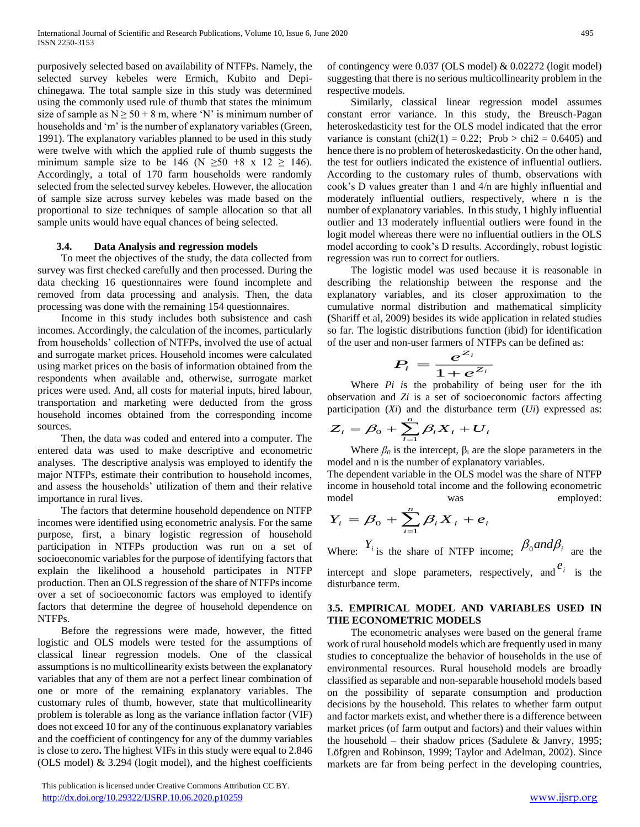purposively selected based on availability of NTFPs. Namely, the selected survey kebeles were Ermich, Kubito and Depichinegawa. The total sample size in this study was determined using the commonly used rule of thumb that states the minimum size of sample as  $N \ge 50 + 8$  m, where 'N' is minimum number of households and 'm' is the number of explanatory variables (Green, 1991). The explanatory variables planned to be used in this study were twelve with which the applied rule of thumb suggests the minimum sample size to be 146 (N  $\geq$ 50 +8 x 12  $\geq$  146). Accordingly, a total of 170 farm households were randomly selected from the selected survey kebeles. However, the allocation of sample size across survey kebeles was made based on the proportional to size techniques of sample allocation so that all sample units would have equal chances of being selected.

## **3.4. Data Analysis and regression models**

 To meet the objectives of the study, the data collected from survey was first checked carefully and then processed. During the data checking 16 questionnaires were found incomplete and removed from data processing and analysis. Then, the data processing was done with the remaining 154 questionnaires.

 Income in this study includes both subsistence and cash incomes. Accordingly, the calculation of the incomes, particularly from households' collection of NTFPs, involved the use of actual and surrogate market prices. Household incomes were calculated using market prices on the basis of information obtained from the respondents when available and, otherwise, surrogate market prices were used. And, all costs for material inputs, hired labour, transportation and marketing were deducted from the gross household incomes obtained from the corresponding income sources.

 Then, the data was coded and entered into a computer. The entered data was used to make descriptive and econometric analyses. The descriptive analysis was employed to identify the major NTFPs, estimate their contribution to household incomes, and assess the households' utilization of them and their relative importance in rural lives.

 The factors that determine household dependence on NTFP incomes were identified using econometric analysis. For the same purpose, first, a binary logistic regression of household participation in NTFPs production was run on a set of socioeconomic variables for the purpose of identifying factors that explain the likelihood a household participates in NTFP production. Then an OLS regression of the share of NTFPs income over a set of socioeconomic factors was employed to identify factors that determine the degree of household dependence on NTFPs.

 Before the regressions were made, however, the fitted logistic and OLS models were tested for the assumptions of classical linear regression models. One of the classical assumptions is no multicollinearity exists between the explanatory variables that any of them are not a perfect linear combination of one or more of the remaining explanatory variables. The customary rules of thumb, however, state that multicollinearity problem is tolerable as long as the variance inflation factor (VIF) does not exceed 10 for any of the continuous explanatory variables and the coefficient of contingency for any of the dummy variables is close to zero**.** The highest VIFs in this study were equal to 2.846 (OLS model)  $& 3.294$  (logit model), and the highest coefficients

 This publication is licensed under Creative Commons Attribution CC BY. <http://dx.doi.org/10.29322/IJSRP.10.06.2020.p10259> [www.ijsrp.org](http://ijsrp.org/)

of contingency were 0.037 (OLS model) & 0.02272 (logit model) suggesting that there is no serious multicollinearity problem in the respective models.

 Similarly, classical linear regression model assumes constant error variance. In this study, the Breusch-Pagan heteroskedasticity test for the OLS model indicated that the error variance is constant (chi2(1) = 0.22; Prob > chi2 = 0.6405) and hence there is no problem of heteroskedasticity. On the other hand, the test for outliers indicated the existence of influential outliers. According to the customary rules of thumb, observations with cook's D values greater than 1 and 4/n are highly influential and moderately influential outliers, respectively, where n is the number of explanatory variables. In this study, 1 highly influential outlier and 13 moderately influential outliers were found in the logit model whereas there were no influential outliers in the OLS model according to cook's D results. Accordingly, robust logistic regression was run to correct for outliers.

 The logistic model was used because it is reasonable in describing the relationship between the response and the explanatory variables, and its closer approximation to the cumulative normal distribution and mathematical simplicity **(**Shariff et al, 2009) besides its wide application in related studies so far. The logistic distributions function (ibid) for identification of the user and non-user farmers of NTFPs can be defined as:

$$
P_i = \frac{e^{Z_i}}{1 + e^{Z_i}}
$$

 Where *Pi i*s the probability of being user for the ith observation and *Zi* is a set of socioeconomic factors affecting participation (*Xi*) and the disturbance term (*Ui*) expressed as:

$$
Z_i = \beta_0 + \sum_{i=1}^n \beta_i X_i + U_i
$$

Where  $\beta_0$  is the intercept,  $\beta_i$  are the slope parameters in the model and n is the number of explanatory variables.

The dependent variable in the OLS model was the share of NTFP income in household total income and the following econometric model was was employed:

$$
Y_i = \beta_0 + \sum_{i=1}^n \beta_i X_i + e_i
$$
  
Where:  $Y_i$  is the share of NTFP income;  $\beta_0$  and  $\beta_i$  are the

intercept and slope parameters, respectively, and  $e_i$  is the disturbance term.

# **3.5. EMPIRICAL MODEL AND VARIABLES USED IN THE ECONOMETRIC MODELS**

 The econometric analyses were based on the general frame work of rural household models which are frequently used in many studies to conceptualize the behavior of households in the use of environmental resources. Rural household models are broadly classified as separable and non-separable household models based on the possibility of separate consumption and production decisions by the household. This relates to whether farm output and factor markets exist, and whether there is a difference between market prices (of farm output and factors) and their values within the household – their shadow prices (Sadulete & Janvry, 1995; Löfgren and Robinson, 1999; Taylor and Adelman, 2002). Since markets are far from being perfect in the developing countries,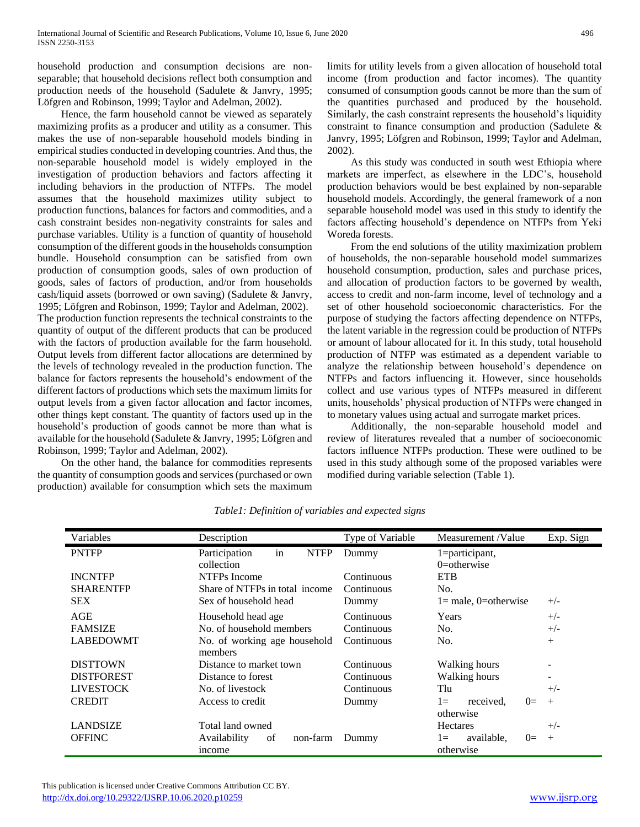household production and consumption decisions are nonseparable; that household decisions reflect both consumption and production needs of the household (Sadulete & Janvry, 1995; Löfgren and Robinson, 1999; Taylor and Adelman, 2002).

 Hence, the farm household cannot be viewed as separately maximizing profits as a producer and utility as a consumer. This makes the use of non-separable household models binding in empirical studies conducted in developing countries. And thus, the non-separable household model is widely employed in the investigation of production behaviors and factors affecting it including behaviors in the production of NTFPs. The model assumes that the household maximizes utility subject to production functions, balances for factors and commodities, and a cash constraint besides non-negativity constraints for sales and purchase variables. Utility is a function of quantity of household consumption of the different goods in the households consumption bundle. Household consumption can be satisfied from own production of consumption goods, sales of own production of goods, sales of factors of production, and/or from households cash/liquid assets (borrowed or own saving) (Sadulete & Janvry, 1995; Löfgren and Robinson, 1999; Taylor and Adelman, 2002). The production function represents the technical constraints to the quantity of output of the different products that can be produced with the factors of production available for the farm household. Output levels from different factor allocations are determined by the levels of technology revealed in the production function. The balance for factors represents the household's endowment of the different factors of productions which sets the maximum limits for output levels from a given factor allocation and factor incomes, other things kept constant. The quantity of factors used up in the household's production of goods cannot be more than what is available for the household (Sadulete & Janvry, 1995; Löfgren and Robinson, 1999; Taylor and Adelman, 2002).

 On the other hand, the balance for commodities represents the quantity of consumption goods and services (purchased or own production) available for consumption which sets the maximum

limits for utility levels from a given allocation of household total income (from production and factor incomes). The quantity consumed of consumption goods cannot be more than the sum of the quantities purchased and produced by the household. Similarly, the cash constraint represents the household's liquidity constraint to finance consumption and production (Sadulete & Janvry, 1995; Löfgren and Robinson, 1999; Taylor and Adelman, 2002).

 As this study was conducted in south west Ethiopia where markets are imperfect, as elsewhere in the LDC's, household production behaviors would be best explained by non-separable household models. Accordingly, the general framework of a non separable household model was used in this study to identify the factors affecting household's dependence on NTFPs from Yeki Woreda forests.

 From the end solutions of the utility maximization problem of households, the non-separable household model summarizes household consumption, production, sales and purchase prices, and allocation of production factors to be governed by wealth, access to credit and non-farm income, level of technology and a set of other household socioeconomic characteristics. For the purpose of studying the factors affecting dependence on NTFPs, the latent variable in the regression could be production of NTFPs or amount of labour allocated for it. In this study, total household production of NTFP was estimated as a dependent variable to analyze the relationship between household's dependence on NTFPs and factors influencing it. However, since households collect and use various types of NTFPs measured in different units, households' physical production of NTFPs were changed in to monetary values using actual and surrogate market prices.

 Additionally, the non-separable household model and review of literatures revealed that a number of socioeconomic factors influence NTFPs production. These were outlined to be used in this study although some of the proposed variables were modified during variable selection (Table 1).

| Variables         | Description                             | Type of Variable | Exp. Sign<br>Measurement /Value                  |
|-------------------|-----------------------------------------|------------------|--------------------------------------------------|
| <b>PNTFP</b>      | Participation<br>in<br><b>NTFP</b>      | Dummy            | 1=participant,                                   |
|                   | collection                              |                  | $0=$ otherwise                                   |
| <b>INCNTFP</b>    | NTFPs Income                            | Continuous       | <b>ETB</b>                                       |
| <b>SHARENTFP</b>  | Share of NTFPs in total income          | Continuous       | No.                                              |
| <b>SEX</b>        | Sex of household head                   | Dummy            | $1 =$ male, 0=otherwise<br>$+/-$                 |
| AGE               | Household head age                      | Continuous       | Years<br>$+/-$                                   |
| <b>FAMSIZE</b>    | No. of household members                | Continuous       | No.<br>$+/-$                                     |
| <b>LABEDOWMT</b>  | No. of working age household<br>members | Continuous       | No.<br>$+$                                       |
| <b>DISTTOWN</b>   | Distance to market town                 | Continuous       | <b>Walking</b> hours<br>$\overline{\phantom{a}}$ |
| <b>DISTFOREST</b> | Distance to forest                      | Continuous       | Walking hours<br>$\overline{\phantom{a}}$        |
| <b>LIVESTOCK</b>  | No. of livestock                        | Continuous       | Tlu<br>$+/-$                                     |
| <b>CREDIT</b>     | Access to credit                        | Dummy            | $1 =$<br>$0=$<br>received,<br>$+$<br>otherwise   |
| <b>LANDSIZE</b>   | Total land owned                        |                  | Hectares<br>$+/-$                                |
| <b>OFFINC</b>     | Availability<br>of<br>non-farm          | Dummy            | $0=$<br>$1 =$<br>available,<br>$^{+}$            |
|                   | income                                  |                  | otherwise                                        |

*Table1: Definition of variables and expected signs*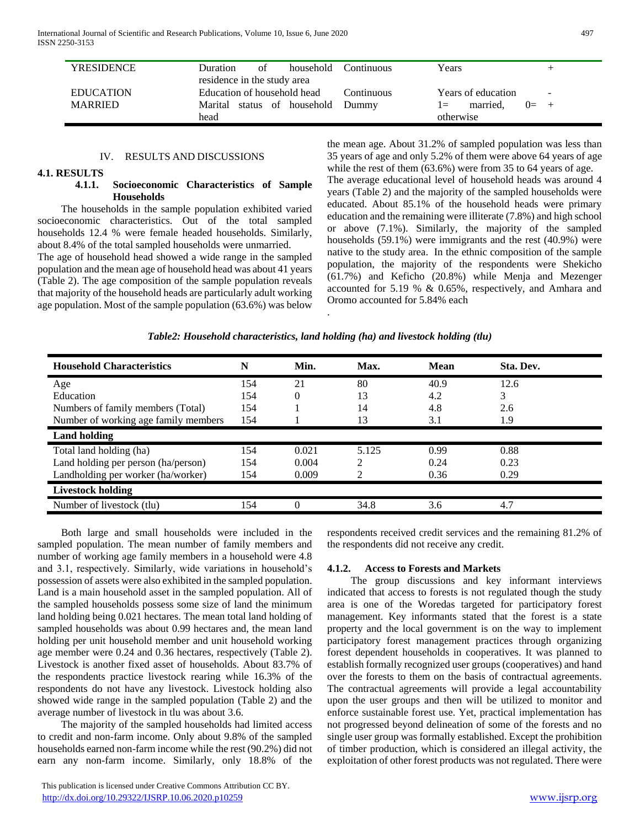| <b>YRESIDENCE</b> | <b>Duration</b><br>household<br>of | <b>Continuous</b> | Years              | +                        |
|-------------------|------------------------------------|-------------------|--------------------|--------------------------|
|                   | residence in the study area        |                   |                    |                          |
| EDUCATION         | Education of household head        | Continuous        | Years of education | $\overline{\phantom{a}}$ |
| <b>MARRIED</b>    | Marital status of household        | Dummy             | married.<br>$l =$  | $() = +$                 |
|                   | head                               |                   | otherwise          |                          |

#### IV. RESULTS AND DISCUSSIONS

# **4.1. RESULTS**

## **4.1.1. Socioeconomic Characteristics of Sample Households**

 The households in the sample population exhibited varied socioeconomic characteristics. Out of the total sampled households 12.4 % were female headed households. Similarly, about 8.4% of the total sampled households were unmarried.

The age of household head showed a wide range in the sampled population and the mean age of household head was about 41 years (Table 2). The age composition of the sample population reveals that majority of the household heads are particularly adult working age population. Most of the sample population (63.6%) was below

the mean age. About 31.2% of sampled population was less than 35 years of age and only 5.2% of them were above 64 years of age while the rest of them (63.6%) were from 35 to 64 years of age. The average educational level of household heads was around 4 years (Table 2) and the majority of the sampled households were educated. About 85.1% of the household heads were primary education and the remaining were illiterate (7.8%) and high school or above (7.1%). Similarly, the majority of the sampled households (59.1%) were immigrants and the rest (40.9%) were native to the study area. In the ethnic composition of the sample population, the majority of the respondents were Shekicho (61.7%) and Keficho (20.8%) while Menja and Mezenger accounted for 5.19 % & 0.65%, respectively, and Amhara and Oromo accounted for 5.84% each

.

| <b>Household Characteristics</b>     | N   | Min.     | Max.  | <b>Mean</b> | Sta. Dev. |  |
|--------------------------------------|-----|----------|-------|-------------|-----------|--|
| Age                                  | 154 | 21       | 80    | 40.9        | 12.6      |  |
| Education                            | 154 | $\Omega$ | 13    | 4.2         | 3         |  |
| Numbers of family members (Total)    | 154 |          | 14    | 4.8         | 2.6       |  |
| Number of working age family members | 154 |          | 13    | 3.1         | 1.9       |  |
| <b>Land holding</b>                  |     |          |       |             |           |  |
| Total land holding (ha)              | 154 | 0.021    | 5.125 | 0.99        | 0.88      |  |
| Land holding per person (ha/person)  | 154 | 0.004    | ↑     | 0.24        | 0.23      |  |
| Landholding per worker (ha/worker)   | 154 | 0.009    | ◠     | 0.36        | 0.29      |  |
| <b>Livestock holding</b>             |     |          |       |             |           |  |
| Number of livestock (tlu)            | 154 |          | 34.8  | 3.6         | 4.7       |  |

 Both large and small households were included in the sampled population. The mean number of family members and number of working age family members in a household were 4.8 and 3.1, respectively. Similarly, wide variations in household's possession of assets were also exhibited in the sampled population. Land is a main household asset in the sampled population. All of the sampled households possess some size of land the minimum land holding being 0.021 hectares. The mean total land holding of sampled households was about 0.99 hectares and, the mean land holding per unit household member and unit household working age member were 0.24 and 0.36 hectares, respectively (Table 2). Livestock is another fixed asset of households. About 83.7% of the respondents practice livestock rearing while 16.3% of the respondents do not have any livestock. Livestock holding also showed wide range in the sampled population (Table 2) and the average number of livestock in tlu was about 3.6.

 The majority of the sampled households had limited access to credit and non-farm income. Only about 9.8% of the sampled households earned non-farm income while the rest (90.2%) did not earn any non-farm income. Similarly, only 18.8% of the

 This publication is licensed under Creative Commons Attribution CC BY. <http://dx.doi.org/10.29322/IJSRP.10.06.2020.p10259> [www.ijsrp.org](http://ijsrp.org/)

respondents received credit services and the remaining 81.2% of the respondents did not receive any credit.

#### **4.1.2. Access to Forests and Markets**

 The group discussions and key informant interviews indicated that access to forests is not regulated though the study area is one of the Woredas targeted for participatory forest management. Key informants stated that the forest is a state property and the local government is on the way to implement participatory forest management practices through organizing forest dependent households in cooperatives. It was planned to establish formally recognized user groups (cooperatives) and hand over the forests to them on the basis of contractual agreements. The contractual agreements will provide a legal accountability upon the user groups and then will be utilized to monitor and enforce sustainable forest use. Yet, practical implementation has not progressed beyond delineation of some of the forests and no single user group was formally established. Except the prohibition of timber production, which is considered an illegal activity, the exploitation of other forest products was not regulated. There were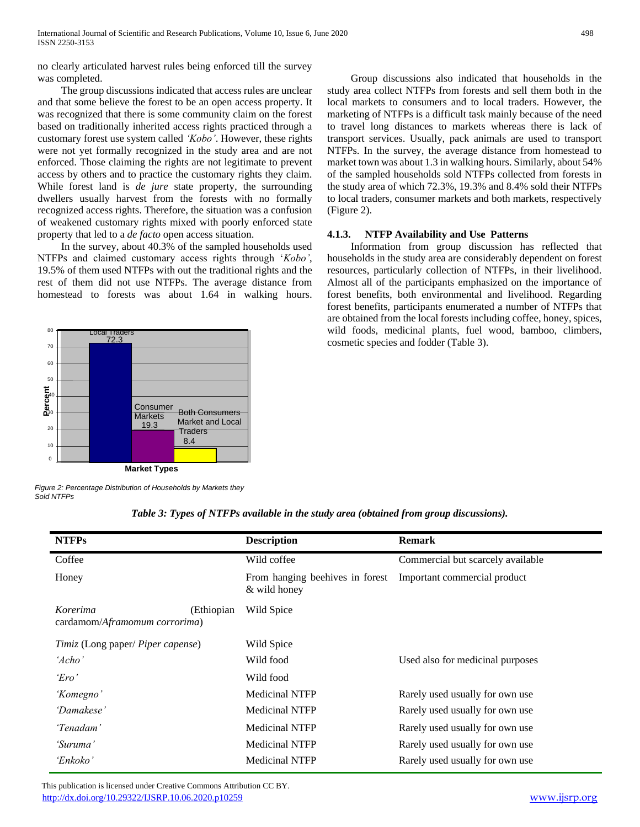no clearly articulated harvest rules being enforced till the survey was completed.

 The group discussions indicated that access rules are unclear and that some believe the forest to be an open access property. It was recognized that there is some community claim on the forest based on traditionally inherited access rights practiced through a customary forest use system called *'Kobo'*. However, these rights were not yet formally recognized in the study area and are not enforced. Those claiming the rights are not legitimate to prevent access by others and to practice the customary rights they claim. While forest land is *de jure* state property, the surrounding dwellers usually harvest from the forests with no formally recognized access rights. Therefore, the situation was a confusion of weakened customary rights mixed with poorly enforced state property that led to a *de facto* open access situation.

 In the survey, about 40.3% of the sampled households used NTFPs and claimed customary access rights through '*Kobo'*, 19.5% of them used NTFPs with out the traditional rights and the rest of them did not use NTFPs. The average distance from homestead to forests was about 1.64 in walking hours.



 Group discussions also indicated that households in the study area collect NTFPs from forests and sell them both in the local markets to consumers and to local traders. However, the marketing of NTFPs is a difficult task mainly because of the need to travel long distances to markets whereas there is lack of transport services. Usually, pack animals are used to transport NTFPs. In the survey, the average distance from homestead to market town was about 1.3 in walking hours. Similarly, about 54% of the sampled households sold NTFPs collected from forests in the study area of which 72.3%, 19.3% and 8.4% sold their NTFPs to local traders, consumer markets and both markets, respectively (Figure 2).

# **4.1.3. NTFP Availability and Use Patterns**

 Information from group discussion has reflected that households in the study area are considerably dependent on forest resources, particularly collection of NTFPs, in their livelihood. Almost all of the participants emphasized on the importance of forest benefits, both environmental and livelihood. Regarding forest benefits, participants enumerated a number of NTFPs that are obtained from the local forests including coffee, honey, spices, wild foods, medicinal plants, fuel wood, bamboo, climbers, cosmetic species and fodder (Table 3).

**Market Types**

*Figure 2: Percentage Distribution of Households by Markets they Sold NTFPs* 

| <b>NTFPs</b>                                            | <b>Description</b>                              | <b>Remark</b>                     |
|---------------------------------------------------------|-------------------------------------------------|-----------------------------------|
| Coffee                                                  | Wild coffee                                     | Commercial but scarcely available |
| Honey                                                   | From hanging beehives in forest<br>& wild honey | Important commercial product      |
| (Ethiopian<br>Korerima<br>cardamom/Aframomum corrorima) | Wild Spice                                      |                                   |
| Timiz (Long paper/ Piper capense)                       | Wild Spice                                      |                                   |
| 'Acho'                                                  | Wild food                                       | Used also for medicinal purposes  |
| 'Ero'                                                   | Wild food                                       |                                   |
| 'Komegno'                                               | <b>Medicinal NTFP</b>                           | Rarely used usually for own use   |
| 'Damakese'                                              | <b>Medicinal NTFP</b>                           | Rarely used usually for own use   |
| 'Tenadam'                                               | <b>Medicinal NTFP</b>                           | Rarely used usually for own use   |
| 'Suruma'                                                | <b>Medicinal NTFP</b>                           | Rarely used usually for own use   |
| 'Enkoko'                                                | <b>Medicinal NTFP</b>                           | Rarely used usually for own use   |

*Table 3: Types of NTFPs available in the study area (obtained from group discussions).*

 This publication is licensed under Creative Commons Attribution CC BY. <http://dx.doi.org/10.29322/IJSRP.10.06.2020.p10259> [www.ijsrp.org](http://ijsrp.org/)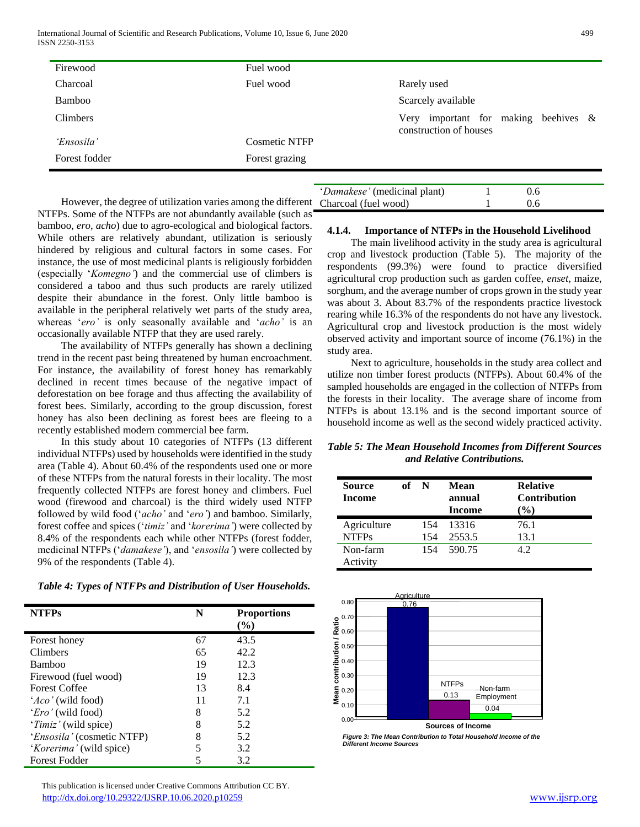International Journal of Scientific and Research Publications, Volume 10, Issue 6, June 2020 499 ISSN 2250-3153

| Firewood      | Fuel wood            |                                                                   |  |  |  |  |
|---------------|----------------------|-------------------------------------------------------------------|--|--|--|--|
| Charcoal      | Fuel wood            | Rarely used                                                       |  |  |  |  |
| Bamboo        |                      | Scarcely available                                                |  |  |  |  |
| Climbers      |                      | Very important for making<br>beehives &<br>construction of houses |  |  |  |  |
| 'Ensosila'    | <b>Cosmetic NTFP</b> |                                                                   |  |  |  |  |
| Forest fodder | Forest grazing       |                                                                   |  |  |  |  |

However, the degree of utilization varies among the different Charcoal (fuel wood) 1 0.6 NTFPs. Some of the NTFPs are not abundantly available (such as bamboo, *ero*, *acho*) due to agro-ecological and biological factors. While others are relatively abundant, utilization is seriously hindered by religious and cultural factors in some cases. For instance, the use of most medicinal plants is religiously forbidden (especially '*Komegno'*) and the commercial use of climbers is considered a taboo and thus such products are rarely utilized despite their abundance in the forest. Only little bamboo is available in the peripheral relatively wet parts of the study area, whereas '*ero'* is only seasonally available and '*acho'* is an occasionally available NTFP that they are used rarely.

 The availability of NTFPs generally has shown a declining trend in the recent past being threatened by human encroachment. For instance, the availability of forest honey has remarkably declined in recent times because of the negative impact of deforestation on bee forage and thus affecting the availability of forest bees. Similarly, according to the group discussion, forest honey has also been declining as forest bees are fleeing to a recently established modern commercial bee farm.

 In this study about 10 categories of NTFPs (13 different individual NTFPs) used by households were identified in the study area (Table 4). About 60.4% of the respondents used one or more of these NTFPs from the natural forests in their locality. The most frequently collected NTFPs are forest honey and climbers. Fuel wood (firewood and charcoal) is the third widely used NTFP followed by wild food ('*acho'* and '*ero'*) and bamboo. Similarly, forest coffee and spices ('*timiz'* and '*korerima'*) were collected by 8.4% of the respondents each while other NTFPs (forest fodder, medicinal NTFPs ('*damakese'*), and '*ensosila'*) were collected by 9% of the respondents (Table 4).

| <b>NTFPs</b>               | N  | <b>Proportions</b><br>(%) |
|----------------------------|----|---------------------------|
| Forest honey               | 67 | 43.5                      |
| <b>Climbers</b>            | 65 | 42.2                      |
| <b>Bamboo</b>              | 19 | 12.3                      |
| Firewood (fuel wood)       | 19 | 12.3                      |
| <b>Forest Coffee</b>       | 13 | 8.4                       |
| 'Aco' (wild food)          | 11 | 7.1                       |
| ' <i>Ero</i> ' (wild food) | 8  | 5.2                       |
| 'Timiz' (wild spice)       | 8  | 5.2                       |
| 'Ensosila' (cosmetic NTFP) | 8  | 5.2                       |
| 'Korerima' (wild spice)    | 5  | 3.2                       |
| <b>Forest Fodder</b>       | 5  | 3.2                       |

 This publication is licensed under Creative Commons Attribution CC BY. <http://dx.doi.org/10.29322/IJSRP.10.06.2020.p10259> [www.ijsrp.org](http://ijsrp.org/)

#### **4.1.4. Importance of NTFPs in the Household Livelihood**

'*Damakese'* (medicinal plant) 1 0.6

 The main livelihood activity in the study area is agricultural crop and livestock production (Table 5). The majority of the respondents (99.3%) were found to practice diversified agricultural crop production such as garden coffee, *enset*, maize, sorghum, and the average number of crops grown in the study year was about 3. About 83.7% of the respondents practice livestock rearing while 16.3% of the respondents do not have any livestock. Agricultural crop and livestock production is the most widely observed activity and important source of income (76.1%) in the study area.

 Next to agriculture, households in the study area collect and utilize non timber forest products (NTFPs). About 60.4% of the sampled households are engaged in the collection of NTFPs from the forests in their locality. The average share of income from NTFPs is about 13.1% and is the second important source of household income as well as the second widely practiced activity.

*Table 5: The Mean Household Incomes from Different Sources and Relative Contributions.*

| <b>Source</b><br><b>Income</b> | of | N   | Mean<br>annual<br><b>Income</b> | <b>Relative</b><br><b>Contribution</b><br>$(\%)$ |
|--------------------------------|----|-----|---------------------------------|--------------------------------------------------|
| Agriculture                    |    | 154 | 13316                           | 76.1                                             |
| <b>NTFPs</b>                   |    | 154 | 2553.5                          | 13.1                                             |
| Non-farm<br>Activity           |    | 154 | 590.75                          | 4.2                                              |



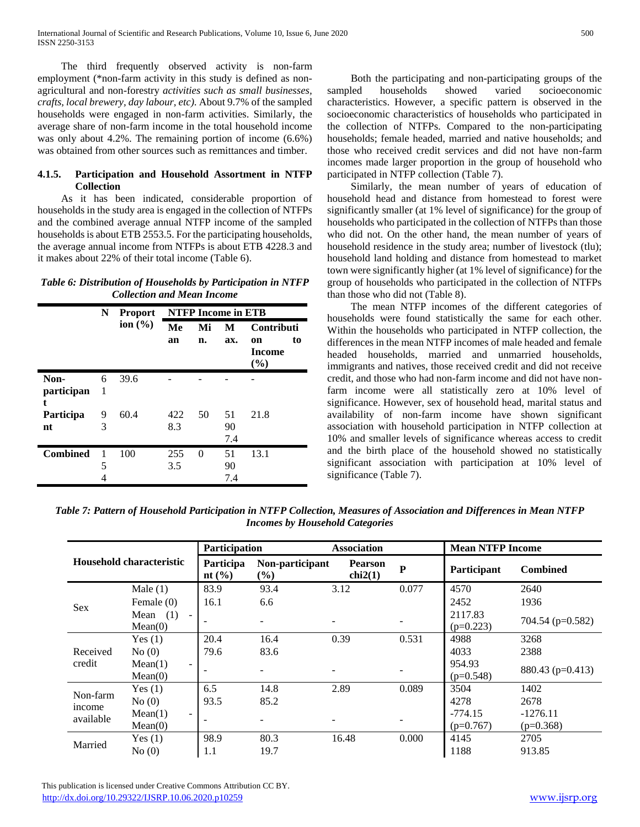The third frequently observed activity is non-farm employment (\*non-farm activity in this study is defined as nonagricultural and non-forestry *activities such as small businesses, crafts, local brewery, day labour, etc)*. About 9.7% of the sampled households were engaged in non-farm activities. Similarly, the average share of non-farm income in the total household income was only about 4.2%. The remaining portion of income (6.6%) was obtained from other sources such as remittances and timber.

# **4.1.5. Participation and Household Assortment in NTFP Collection**

 As it has been indicated, considerable proportion of households in the study area is engaged in the collection of NTFPs and the combined average annual NTFP income of the sampled households is about ETB 2553.5. For the participating households, the average annual income from NTFPs is about ETB 4228.3 and it makes about 22% of their total income (Table 6).

*Table 6: Distribution of Households by Participation in NTFP Collection and Mean Income*

|                      | N           | <b>Proport</b> |            | <b>NTFP Income in ETB</b> |                 |                                         |  |  |
|----------------------|-------------|----------------|------------|---------------------------|-----------------|-----------------------------------------|--|--|
|                      |             | ion $(\% )$    | Me<br>an   | Mi<br>n.                  | M<br>ax.        | Contributi<br>to<br>on<br>Income<br>(%) |  |  |
| Non-<br>participan   | 6<br>1      | 39.6           |            |                           |                 |                                         |  |  |
| t<br>Participa<br>nt | 9<br>3      | 60.4           | 422<br>8.3 | 50                        | 51<br>90<br>7.4 | 21.8                                    |  |  |
| <b>Combined</b>      | 1<br>5<br>4 | 100            | 255<br>3.5 | 0                         | 51<br>90<br>7.4 | 13.1                                    |  |  |

 Both the participating and non-participating groups of the sampled households showed varied socioeconomic characteristics. However, a specific pattern is observed in the socioeconomic characteristics of households who participated in the collection of NTFPs. Compared to the non-participating households; female headed, married and native households; and those who received credit services and did not have non-farm incomes made larger proportion in the group of household who participated in NTFP collection (Table 7).

 Similarly, the mean number of years of education of household head and distance from homestead to forest were significantly smaller (at 1% level of significance) for the group of households who participated in the collection of NTFPs than those who did not. On the other hand, the mean number of years of household residence in the study area; number of livestock (tlu); household land holding and distance from homestead to market town were significantly higher (at 1% level of significance) for the group of households who participated in the collection of NTFPs than those who did not (Table 8).

 The mean NTFP incomes of the different categories of households were found statistically the same for each other. Within the households who participated in NTFP collection, the differences in the mean NTFP incomes of male headed and female headed households, married and unmarried households, immigrants and natives, those received credit and did not receive credit, and those who had non-farm income and did not have nonfarm income were all statistically zero at 10% level of significance. However, sex of household head, marital status and availability of non-farm income have shown significant association with household participation in NTFP collection at 10% and smaller levels of significance whereas access to credit and the birth place of the household showed no statistically significant association with participation at 10% level of significance (Table 7).

*Table 7: Pattern of Household Participation in NTFP Collection, Measures of Association and Differences in Mean NTFP Incomes by Household Categories*

|                      |                                  | <b>Participation</b>    |                           | <b>Association</b>        |              | <b>Mean NTFP Income</b> |                      |
|----------------------|----------------------------------|-------------------------|---------------------------|---------------------------|--------------|-------------------------|----------------------|
|                      | Household characteristic         | Participa<br>nt $(\% )$ | Non-participant<br>$(\%)$ | <b>Pearson</b><br>chi2(1) | $\mathbf{P}$ | <b>Participant</b>      | <b>Combined</b>      |
|                      | Male $(1)$                       | 83.9                    | 93.4                      | 3.12                      | 0.077        | 4570                    | 2640                 |
| Sex                  | Female $(0)$                     | 16.1                    | 6.6                       |                           |              | 2452                    | 1936                 |
|                      | Mean<br>(1)<br>$\sim$<br>Mean(0) |                         |                           |                           |              | 2117.83<br>$(p=0.223)$  | 704.54 ( $p=0.582$ ) |
|                      | Yes $(1)$                        | 20.4                    | 16.4                      | 0.39                      | 0.531        | 4988                    | 3268                 |
| Received             | No(0)                            | 79.6                    | 83.6                      |                           |              | 4033                    | 2388                 |
| credit               | Mean(1)<br>$\sim$<br>Mean(0)     |                         |                           |                           |              | 954.93<br>$(p=0.548)$   | 880.43 (p=0.413)     |
| Non-farm             | Yes(1)                           | 6.5                     | 14.8                      | 2.89                      | 0.089        | 3504                    | 1402                 |
| income               | No(0)                            | 93.5                    | 85.2                      |                           |              | 4278                    | 2678                 |
| available<br>Married | Mean(1)<br>$\blacksquare$        |                         |                           |                           |              | $-774.15$               | $-1276.11$           |
|                      | Mean(0)                          |                         |                           |                           |              | $(p=0.767)$             | $(p=0.368)$          |
|                      | Yes(1)                           | 98.9                    | 80.3                      | 16.48                     | 0.000        | 4145                    | 2705                 |
|                      | No(0)                            | $1.1\,$                 | 19.7                      |                           |              | 1188                    | 913.85               |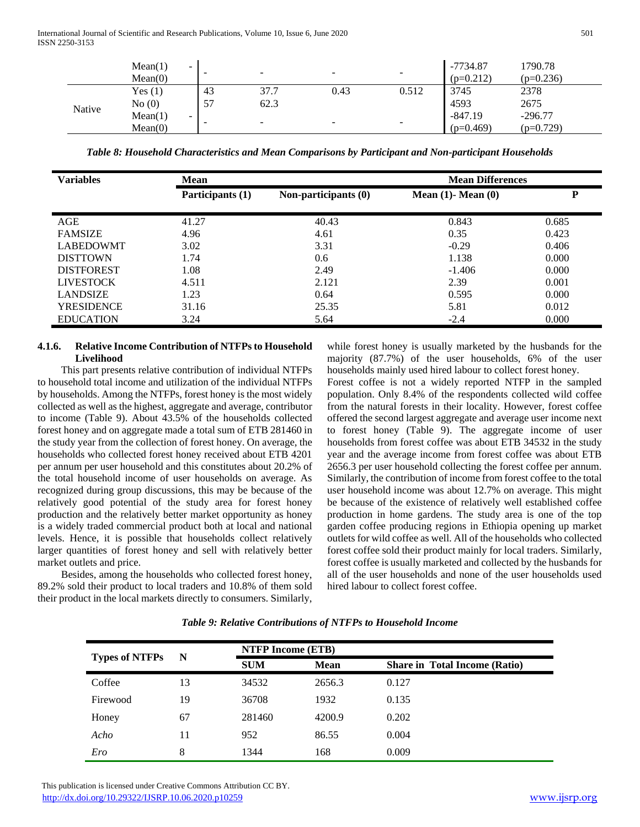International Journal of Scientific and Research Publications, Volume 10, Issue 6, June 2020 501 ISSN 2250-3153

|        | Mean(1)<br>-<br>Mean(0) | -  | $\overline{\phantom{0}}$ | -    | $\overline{\phantom{a}}$ | -7734.87<br>$(p=0.212)$ | 1790.78<br>$(p=0.236)$ |
|--------|-------------------------|----|--------------------------|------|--------------------------|-------------------------|------------------------|
|        | Yes(1)                  | 43 | 37.7                     | 0.43 | 0.512                    | 3745                    | 2378                   |
|        | No(0)                   | 57 | 62.3                     |      |                          | 4593                    | 2675                   |
| Native | Mean(1)<br>-            |    |                          |      |                          | $-847.19$               | $-296.77$              |
|        | Mean(0)                 |    | -                        | -    | $\overline{\phantom{a}}$ | $(p=0.469)$             | $(p=0.729)$            |

*Table 8: Household Characteristics and Mean Comparisons by Participant and Non-participant Households*

| <b>Variables</b>  | Mean             |                      | <b>Mean Differences</b> |       |  |
|-------------------|------------------|----------------------|-------------------------|-------|--|
|                   | Participants (1) | Non-participants (0) | Mean $(1)$ - Mean $(0)$ | P     |  |
| AGE               | 41.27            | 40.43                | 0.843                   | 0.685 |  |
| <b>FAMSIZE</b>    | 4.96             | 4.61                 | 0.35                    | 0.423 |  |
| <b>LABEDOWMT</b>  | 3.02             | 3.31                 | $-0.29$                 | 0.406 |  |
| <b>DISTTOWN</b>   | 1.74             | 0.6                  | 1.138                   | 0.000 |  |
| <b>DISTFOREST</b> | 1.08             | 2.49                 | $-1.406$                | 0.000 |  |
| <b>LIVESTOCK</b>  | 4.511            | 2.121                | 2.39                    | 0.001 |  |
| <b>LANDSIZE</b>   | 1.23             | 0.64                 | 0.595                   | 0.000 |  |
| <b>YRESIDENCE</b> | 31.16            | 25.35                | 5.81                    | 0.012 |  |
| <b>EDUCATION</b>  | 3.24             | 5.64                 | $-2.4$                  | 0.000 |  |

## **4.1.6. Relative Income Contribution of NTFPs to Household Livelihood**

 This part presents relative contribution of individual NTFPs to household total income and utilization of the individual NTFPs by households. Among the NTFPs, forest honey is the most widely collected as well as the highest, aggregate and average, contributor to income (Table 9). About 43.5% of the households collected forest honey and on aggregate made a total sum of ETB 281460 in the study year from the collection of forest honey. On average, the households who collected forest honey received about ETB 4201 per annum per user household and this constitutes about 20.2% of the total household income of user households on average. As recognized during group discussions, this may be because of the relatively good potential of the study area for forest honey production and the relatively better market opportunity as honey is a widely traded commercial product both at local and national levels. Hence, it is possible that households collect relatively larger quantities of forest honey and sell with relatively better market outlets and price.

 Besides, among the households who collected forest honey, 89.2% sold their product to local traders and 10.8% of them sold their product in the local markets directly to consumers. Similarly,

while forest honey is usually marketed by the husbands for the majority (87.7%) of the user households, 6% of the user households mainly used hired labour to collect forest honey.

Forest coffee is not a widely reported NTFP in the sampled population. Only 8.4% of the respondents collected wild coffee from the natural forests in their locality. However, forest coffee offered the second largest aggregate and average user income next to forest honey (Table 9). The aggregate income of user households from forest coffee was about ETB 34532 in the study year and the average income from forest coffee was about ETB 2656.3 per user household collecting the forest coffee per annum. Similarly, the contribution of income from forest coffee to the total user household income was about 12.7% on average. This might be because of the existence of relatively well established coffee production in home gardens. The study area is one of the top garden coffee producing regions in Ethiopia opening up market outlets for wild coffee as well. All of the households who collected forest coffee sold their product mainly for local traders. Similarly, forest coffee is usually marketed and collected by the husbands for all of the user households and none of the user households used hired labour to collect forest coffee.

| <b>Types of NTFPs</b> | N  | <b>NTFP Income (ETB)</b> |             |                                      |  |  |
|-----------------------|----|--------------------------|-------------|--------------------------------------|--|--|
|                       |    | <b>SUM</b>               | <b>Mean</b> | <b>Share in Total Income (Ratio)</b> |  |  |
| Coffee                | 13 | 34532                    | 2656.3      | 0.127                                |  |  |
| Firewood              | 19 | 36708                    | 1932        | 0.135                                |  |  |
| Honey                 | 67 | 281460                   | 4200.9      | 0.202                                |  |  |
| Acho                  | 11 | 952                      | 86.55       | 0.004                                |  |  |
| Ero                   | 8  | 1344                     | 168         | 0.009                                |  |  |

*Table 9: Relative Contributions of NTFPs to Household Income*

 This publication is licensed under Creative Commons Attribution CC BY. <http://dx.doi.org/10.29322/IJSRP.10.06.2020.p10259> [www.ijsrp.org](http://ijsrp.org/)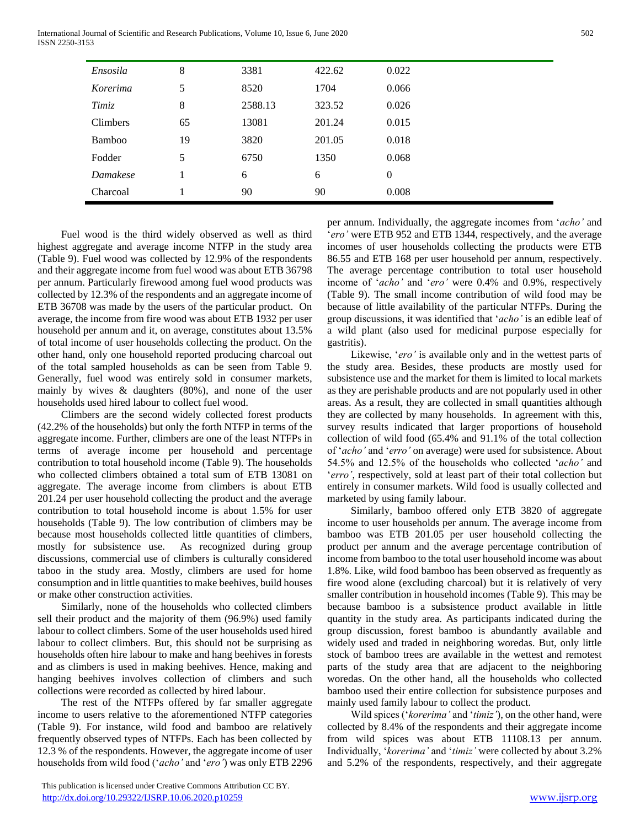International Journal of Scientific and Research Publications, Volume 10, Issue 6, June 2020 502 ISSN 2250-3153

| Ensosila        | 8  | 3381    | 422.62 | 0.022    |
|-----------------|----|---------|--------|----------|
| Korerima        | 5  | 8520    | 1704   | 0.066    |
| Timiz           | 8  | 2588.13 | 323.52 | 0.026    |
| <b>Climbers</b> | 65 | 13081   | 201.24 | 0.015    |
| Bamboo          | 19 | 3820    | 201.05 | 0.018    |
| Fodder          | 5  | 6750    | 1350   | 0.068    |
| Damakese        |    | 6       | 6      | $\theta$ |
| Charcoal        |    | 90      | 90     | 0.008    |

 Fuel wood is the third widely observed as well as third highest aggregate and average income NTFP in the study area (Table 9). Fuel wood was collected by 12.9% of the respondents and their aggregate income from fuel wood was about ETB 36798 per annum. Particularly firewood among fuel wood products was collected by 12.3% of the respondents and an aggregate income of ETB 36708 was made by the users of the particular product. On average, the income from fire wood was about ETB 1932 per user household per annum and it, on average, constitutes about 13.5% of total income of user households collecting the product. On the other hand, only one household reported producing charcoal out of the total sampled households as can be seen from Table 9. Generally, fuel wood was entirely sold in consumer markets, mainly by wives & daughters (80%), and none of the user households used hired labour to collect fuel wood.

 Climbers are the second widely collected forest products (42.2% of the households) but only the forth NTFP in terms of the aggregate income. Further, climbers are one of the least NTFPs in terms of average income per household and percentage contribution to total household income (Table 9). The households who collected climbers obtained a total sum of ETB 13081 on aggregate. The average income from climbers is about ETB 201.24 per user household collecting the product and the average contribution to total household income is about 1.5% for user households (Table 9). The low contribution of climbers may be because most households collected little quantities of climbers, mostly for subsistence use. As recognized during group discussions, commercial use of climbers is culturally considered taboo in the study area. Mostly, climbers are used for home consumption and in little quantities to make beehives, build houses or make other construction activities.

 Similarly, none of the households who collected climbers sell their product and the majority of them (96.9%) used family labour to collect climbers. Some of the user households used hired labour to collect climbers. But, this should not be surprising as households often hire labour to make and hang beehives in forests and as climbers is used in making beehives. Hence, making and hanging beehives involves collection of climbers and such collections were recorded as collected by hired labour.

 The rest of the NTFPs offered by far smaller aggregate income to users relative to the aforementioned NTFP categories (Table 9). For instance, wild food and bamboo are relatively frequently observed types of NTFPs. Each has been collected by 12.3 % of the respondents. However, the aggregate income of user households from wild food ('*acho'* and '*ero'*) was only ETB 2296

 This publication is licensed under Creative Commons Attribution CC BY. <http://dx.doi.org/10.29322/IJSRP.10.06.2020.p10259> [www.ijsrp.org](http://ijsrp.org/)

per annum. Individually, the aggregate incomes from '*acho'* and '*ero'* were ETB 952 and ETB 1344, respectively, and the average incomes of user households collecting the products were ETB 86.55 and ETB 168 per user household per annum, respectively. The average percentage contribution to total user household income of '*acho'* and '*ero'* were 0.4% and 0.9%, respectively (Table 9). The small income contribution of wild food may be because of little availability of the particular NTFPs. During the group discussions, it was identified that '*acho'* is an edible leaf of a wild plant (also used for medicinal purpose especially for gastritis).

 Likewise, '*ero'* is available only and in the wettest parts of the study area. Besides, these products are mostly used for subsistence use and the market for them is limited to local markets as they are perishable products and are not popularly used in other areas. As a result, they are collected in small quantities although they are collected by many households. In agreement with this, survey results indicated that larger proportions of household collection of wild food (65.4% and 91.1% of the total collection of '*acho'* and '*erro'* on average) were used for subsistence. About 54.5% and 12.5% of the households who collected '*acho'* and '*erro'*, respectively, sold at least part of their total collection but entirely in consumer markets. Wild food is usually collected and marketed by using family labour.

 Similarly, bamboo offered only ETB 3820 of aggregate income to user households per annum. The average income from bamboo was ETB 201.05 per user household collecting the product per annum and the average percentage contribution of income from bamboo to the total user household income was about 1.8%. Like, wild food bamboo has been observed as frequently as fire wood alone (excluding charcoal) but it is relatively of very smaller contribution in household incomes (Table 9). This may be because bamboo is a subsistence product available in little quantity in the study area. As participants indicated during the group discussion, forest bamboo is abundantly available and widely used and traded in neighboring woredas. But, only little stock of bamboo trees are available in the wettest and remotest parts of the study area that are adjacent to the neighboring woredas. On the other hand, all the households who collected bamboo used their entire collection for subsistence purposes and mainly used family labour to collect the product.

 Wild spices ('*korerima'* and '*timiz'*), on the other hand, were collected by 8.4% of the respondents and their aggregate income from wild spices was about ETB 11108.13 per annum. Individually, '*korerima'* and '*timiz'* were collected by about 3.2% and 5.2% of the respondents, respectively, and their aggregate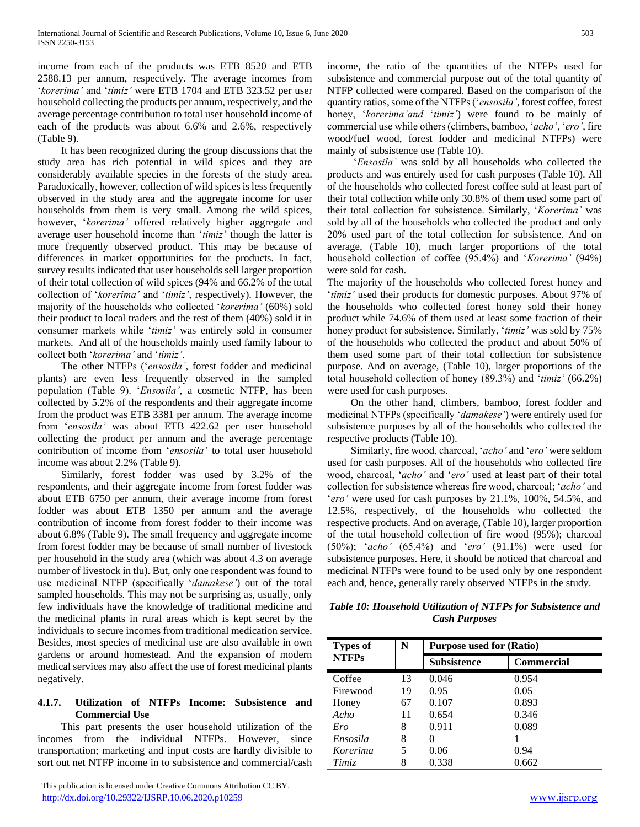income from each of the products was ETB 8520 and ETB 2588.13 per annum, respectively. The average incomes from '*korerima'* and '*timiz'* were ETB 1704 and ETB 323.52 per user household collecting the products per annum, respectively, and the average percentage contribution to total user household income of each of the products was about 6.6% and 2.6%, respectively (Table 9).

 It has been recognized during the group discussions that the study area has rich potential in wild spices and they are considerably available species in the forests of the study area. Paradoxically, however, collection of wild spices is less frequently observed in the study area and the aggregate income for user households from them is very small. Among the wild spices, however, '*korerima'* offered relatively higher aggregate and average user household income than '*timiz'* though the latter is more frequently observed product. This may be because of differences in market opportunities for the products. In fact, survey results indicated that user households sell larger proportion of their total collection of wild spices (94% and 66.2% of the total collection of '*korerima'* and '*timiz'*, respectively). However, the majority of the households who collected '*korerima'* (60%) sold their product to local traders and the rest of them (40%) sold it in consumer markets while '*timiz'* was entirely sold in consumer markets. And all of the households mainly used family labour to collect both '*korerima'* and '*timiz'*.

 The other NTFPs ('*ensosila'*, forest fodder and medicinal plants) are even less frequently observed in the sampled population (Table 9). '*Ensosila'*, a cosmetic NTFP, has been collected by 5.2% of the respondents and their aggregate income from the product was ETB 3381 per annum. The average income from '*ensosila'* was about ETB 422.62 per user household collecting the product per annum and the average percentage contribution of income from '*ensosila'* to total user household income was about 2.2% (Table 9).

 Similarly, forest fodder was used by 3.2% of the respondents, and their aggregate income from forest fodder was about ETB 6750 per annum, their average income from forest fodder was about ETB 1350 per annum and the average contribution of income from forest fodder to their income was about 6.8% (Table 9). The small frequency and aggregate income from forest fodder may be because of small number of livestock per household in the study area (which was about 4.3 on average number of livestock in tlu). But, only one respondent was found to use medicinal NTFP (specifically '*damakese'*) out of the total sampled households. This may not be surprising as, usually, only few individuals have the knowledge of traditional medicine and the medicinal plants in rural areas which is kept secret by the individuals to secure incomes from traditional medication service. Besides, most species of medicinal use are also available in own gardens or around homestead. And the expansion of modern medical services may also affect the use of forest medicinal plants negatively.

# **4.1.7. Utilization of NTFPs Income: Subsistence and Commercial Use**

 This part presents the user household utilization of the incomes from the individual NTFPs. However, since transportation; marketing and input costs are hardly divisible to sort out net NTFP income in to subsistence and commercial/cash

 This publication is licensed under Creative Commons Attribution CC BY. <http://dx.doi.org/10.29322/IJSRP.10.06.2020.p10259> [www.ijsrp.org](http://ijsrp.org/)

income, the ratio of the quantities of the NTFPs used for subsistence and commercial purpose out of the total quantity of NTFP collected were compared. Based on the comparison of the quantity ratios, some of the NTFPs ('*ensosila'*, forest coffee, forest honey, '*korerima'and* '*timiz'*) were found to be mainly of commercial use while others (climbers, bamboo, '*acho'*, '*ero'*, fire wood/fuel wood, forest fodder and medicinal NTFPs) were mainly of subsistence use (Table 10).

 '*Ensosila'* was sold by all households who collected the products and was entirely used for cash purposes (Table 10). All of the households who collected forest coffee sold at least part of their total collection while only 30.8% of them used some part of their total collection for subsistence. Similarly, '*Korerima'* was sold by all of the households who collected the product and only 20% used part of the total collection for subsistence. And on average, (Table 10), much larger proportions of the total household collection of coffee (95.4%) and '*Korerima'* (94%) were sold for cash.

The majority of the households who collected forest honey and '*timiz'* used their products for domestic purposes. About 97% of the households who collected forest honey sold their honey product while 74.6% of them used at least some fraction of their honey product for subsistence. Similarly, '*timiz'* was sold by 75% of the households who collected the product and about 50% of them used some part of their total collection for subsistence purpose. And on average, (Table 10), larger proportions of the total household collection of honey (89.3%) and '*timiz'* (66.2%) were used for cash purposes.

 On the other hand, climbers, bamboo, forest fodder and medicinal NTFPs (specifically '*damakese'*) were entirely used for subsistence purposes by all of the households who collected the respective products (Table 10).

 Similarly, fire wood, charcoal, '*acho'* and '*ero'* were seldom used for cash purposes. All of the households who collected fire wood, charcoal, '*acho'* and '*ero'* used at least part of their total collection for subsistence whereas fire wood, charcoal; '*acho'* and '*ero'* were used for cash purposes by 21.1%, 100%, 54.5%, and 12.5%, respectively, of the households who collected the respective products. And on average, (Table 10), larger proportion of the total household collection of fire wood (95%); charcoal (50%); '*acho'* (65.4%) and '*ero'* (91.1%) were used for subsistence purposes. Here, it should be noticed that charcoal and medicinal NTFPs were found to be used only by one respondent each and, hence, generally rarely observed NTFPs in the study.

*Table 10: Household Utilization of NTFPs for Subsistence and Cash Purposes*

| <b>Types of</b> | N  | <b>Purpose used for (Ratio)</b> |                   |  |  |
|-----------------|----|---------------------------------|-------------------|--|--|
| <b>NTFPs</b>    |    | <b>Subsistence</b>              | <b>Commercial</b> |  |  |
| Coffee          | 13 | 0.046                           | 0.954             |  |  |
| Firewood        | 19 | 0.95                            | 0.05              |  |  |
| Honey           | 67 | 0.107                           | 0.893             |  |  |
| Acho            | 11 | 0.654                           | 0.346             |  |  |
| Ero             | 8  | 0.911                           | 0.089             |  |  |
| Ensosila        | 8  | 0                               |                   |  |  |
| Korerima        | 5  | 0.06                            | 0.94              |  |  |
| Timiz           | 8  | 0.338                           | 0.662             |  |  |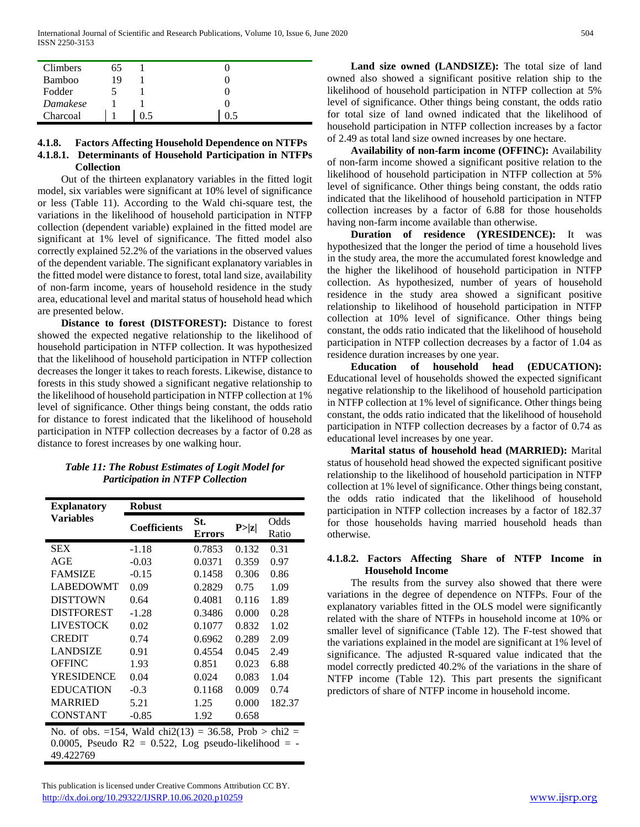| Climbers | 65 |     |  |
|----------|----|-----|--|
| Bamboo   | 19 |     |  |
| Fodder   |    |     |  |
| Damakese |    |     |  |
| Charcoal |    | 0.5 |  |

## **4.1.8. Factors Affecting Household Dependence on NTFPs 4.1.8.1. Determinants of Household Participation in NTFPs Collection**

 Out of the thirteen explanatory variables in the fitted logit model, six variables were significant at 10% level of significance or less (Table 11). According to the Wald chi-square test, the variations in the likelihood of household participation in NTFP collection (dependent variable) explained in the fitted model are significant at 1% level of significance. The fitted model also correctly explained 52.2% of the variations in the observed values of the dependent variable. The significant explanatory variables in the fitted model were distance to forest, total land size, availability of non-farm income, years of household residence in the study area, educational level and marital status of household head which are presented below.

 **Distance to forest (DISTFOREST):** Distance to forest showed the expected negative relationship to the likelihood of household participation in NTFP collection. It was hypothesized that the likelihood of household participation in NTFP collection decreases the longer it takes to reach forests. Likewise, distance to forests in this study showed a significant negative relationship to the likelihood of household participation in NTFP collection at 1% level of significance. Other things being constant, the odds ratio for distance to forest indicated that the likelihood of household participation in NTFP collection decreases by a factor of 0.28 as distance to forest increases by one walking hour.

# *Table 11: The Robust Estimates of Logit Model for Participation in NTFP Collection*

| <b>Explanatory</b> | <b>Robust</b>       |                      |        |               |  |  |  |
|--------------------|---------------------|----------------------|--------|---------------|--|--|--|
| <b>Variables</b>   | <b>Coefficients</b> | St.<br><b>Errors</b> | P >  z | Odds<br>Ratio |  |  |  |
| SEX                | $-1.18$             | 0.7853               | 0.132  | 0.31          |  |  |  |
| AGE                | $-0.03$             | 0.0371               | 0.359  | 0.97          |  |  |  |
| <b>FAMSIZE</b>     | $-0.15$             | 0.1458               | 0.306  | 0.86          |  |  |  |
| LABEDOWMT          | 0.09                | 0.2829               | 0.75   | 1.09          |  |  |  |
| <b>DISTTOWN</b>    | 0.64                | 0.4081               | 0.116  | 1.89          |  |  |  |
| <b>DISTFOREST</b>  | $-1.28$             | 0.3486               | 0.000  | 0.28          |  |  |  |
| <b>LIVESTOCK</b>   | 0.02                | 0.1077               | 0.832  | 1.02          |  |  |  |
| <b>CREDIT</b>      | 0.74                | 0.6962               | 0.289  | 2.09          |  |  |  |
| <b>LANDSIZE</b>    | 0.91                | 0.4554               | 0.045  | 2.49          |  |  |  |
| <b>OFFINC</b>      | 1.93                | 0.851                | 0.023  | 6.88          |  |  |  |
| <b>YRESIDENCE</b>  | 0.04                | 0.024                | 0.083  | 1.04          |  |  |  |
| <b>EDUCATION</b>   | $-0.3$              | 0.1168               | 0.009  | 0.74          |  |  |  |
| <b>MARRIED</b>     | 5.21                | 1.25                 | 0.000  | 182.37        |  |  |  |
| CONSTANT           | $-0.85$             | 1.92                 | 0.658  |               |  |  |  |

No. of obs. =154, Wald chi2(13) = 36.58, Prob  $>$  chi2 = 0.0005, Pseudo R2 = 0.522, Log pseudo-likelihood = -49.422769

 This publication is licensed under Creative Commons Attribution CC BY. <http://dx.doi.org/10.29322/IJSRP.10.06.2020.p10259> [www.ijsrp.org](http://ijsrp.org/)

 **Land size owned (LANDSIZE):** The total size of land owned also showed a significant positive relation ship to the likelihood of household participation in NTFP collection at 5% level of significance. Other things being constant, the odds ratio for total size of land owned indicated that the likelihood of household participation in NTFP collection increases by a factor of 2.49 as total land size owned increases by one hectare.

 **Availability of non-farm income (OFFINC):** Availability of non-farm income showed a significant positive relation to the likelihood of household participation in NTFP collection at 5% level of significance. Other things being constant, the odds ratio indicated that the likelihood of household participation in NTFP collection increases by a factor of 6.88 for those households having non-farm income available than otherwise.

 **Duration of residence (YRESIDENCE):** It was hypothesized that the longer the period of time a household lives in the study area, the more the accumulated forest knowledge and the higher the likelihood of household participation in NTFP collection. As hypothesized, number of years of household residence in the study area showed a significant positive relationship to likelihood of household participation in NTFP collection at 10% level of significance. Other things being constant, the odds ratio indicated that the likelihood of household participation in NTFP collection decreases by a factor of 1.04 as residence duration increases by one year.

 **Education of household head (EDUCATION):** Educational level of households showed the expected significant negative relationship to the likelihood of household participation in NTFP collection at 1% level of significance. Other things being constant, the odds ratio indicated that the likelihood of household participation in NTFP collection decreases by a factor of 0.74 as educational level increases by one year.

 **Marital status of household head (MARRIED):** Marital status of household head showed the expected significant positive relationship to the likelihood of household participation in NTFP collection at 1% level of significance. Other things being constant, the odds ratio indicated that the likelihood of household participation in NTFP collection increases by a factor of 182.37 for those households having married household heads than otherwise.

# **4.1.8.2. Factors Affecting Share of NTFP Income in Household Income**

 The results from the survey also showed that there were variations in the degree of dependence on NTFPs. Four of the explanatory variables fitted in the OLS model were significantly related with the share of NTFPs in household income at 10% or smaller level of significance (Table 12). The F-test showed that the variations explained in the model are significant at 1% level of significance. The adjusted R-squared value indicated that the model correctly predicted 40.2% of the variations in the share of NTFP income (Table 12). This part presents the significant predictors of share of NTFP income in household income.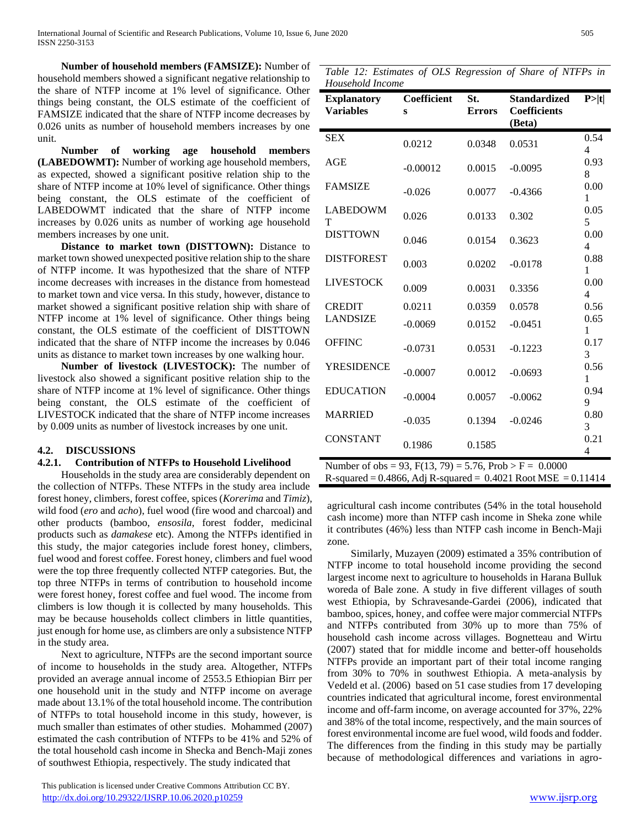**Number of household members (FAMSIZE):** Number of household members showed a significant negative relationship to the share of NTFP income at 1% level of significance. Other things being constant, the OLS estimate of the coefficient of FAMSIZE indicated that the share of NTFP income decreases by 0.026 units as number of household members increases by one unit.

 **Number of working age household members (LABEDOWMT):** Number of working age household members, as expected, showed a significant positive relation ship to the share of NTFP income at 10% level of significance. Other things being constant, the OLS estimate of the coefficient of LABEDOWMT indicated that the share of NTFP income increases by 0.026 units as number of working age household members increases by one unit.

 **Distance to market town (DISTTOWN):** Distance to market town showed unexpected positive relation ship to the share of NTFP income. It was hypothesized that the share of NTFP income decreases with increases in the distance from homestead to market town and vice versa. In this study, however, distance to market showed a significant positive relation ship with share of NTFP income at 1% level of significance. Other things being constant, the OLS estimate of the coefficient of DISTTOWN indicated that the share of NTFP income the increases by 0.046 units as distance to market town increases by one walking hour.

 **Number of livestock (LIVESTOCK):** The number of livestock also showed a significant positive relation ship to the share of NTFP income at 1% level of significance. Other things being constant, the OLS estimate of the coefficient of LIVESTOCK indicated that the share of NTFP income increases by 0.009 units as number of livestock increases by one unit.

## **4.2. DISCUSSIONS**

## **4.2.1. Contribution of NTFPs to Household Livelihood**

 Households in the study area are considerably dependent on the collection of NTFPs. These NTFPs in the study area include forest honey, climbers, forest coffee, spices (*Korerima* and *Timiz*), wild food (*ero* and *acho*), fuel wood (fire wood and charcoal) and other products (bamboo, *ensosila*, forest fodder, medicinal products such as *damakese* etc). Among the NTFPs identified in this study, the major categories include forest honey, climbers, fuel wood and forest coffee. Forest honey, climbers and fuel wood were the top three frequently collected NTFP categories. But, the top three NTFPs in terms of contribution to household income were forest honey, forest coffee and fuel wood. The income from climbers is low though it is collected by many households. This may be because households collect climbers in little quantities, just enough for home use, as climbers are only a subsistence NTFP in the study area.

 Next to agriculture, NTFPs are the second important source of income to households in the study area. Altogether, NTFPs provided an average annual income of 2553.5 Ethiopian Birr per one household unit in the study and NTFP income on average made about 13.1% of the total household income. The contribution of NTFPs to total household income in this study, however, is much smaller than estimates of other studies. Mohammed (2007) estimated the cash contribution of NTFPs to be 41% and 52% of the total household cash income in Shecka and Bench-Maji zones of southwest Ethiopia, respectively. The study indicated that

 This publication is licensed under Creative Commons Attribution CC BY. <http://dx.doi.org/10.29322/IJSRP.10.06.2020.p10259> [www.ijsrp.org](http://ijsrp.org/)

*Table 12: Estimates of OLS Regression of Share of NTFPs in Household Income*

| <b>Explanatory</b><br><b>Variables</b> | <b>Coefficient</b><br>S | St.<br><b>Errors</b> | <b>Standardized</b><br><b>Coefficients</b><br>(Beta) | P>  t                  |
|----------------------------------------|-------------------------|----------------------|------------------------------------------------------|------------------------|
| <b>SEX</b>                             | 0.0212                  | 0.0348               | 0.0531                                               | 0.54<br>4              |
| AGE                                    | $-0.00012$              | 0.0015               | $-0.0095$                                            | 0.93<br>8              |
| <b>FAMSIZE</b>                         | $-0.026$                | 0.0077               | $-0.4366$                                            | 0.00<br>1              |
| <b>LABEDOWM</b><br>T                   | 0.026                   | 0.0133               | 0.302                                                | 0.05<br>5              |
| <b>DISTTOWN</b>                        | 0.046                   | 0.0154               | 0.3623                                               | 0.00<br>4              |
| <b>DISTFOREST</b>                      | 0.003                   | 0.0202               | $-0.0178$                                            | 0.88<br>1              |
| <b>LIVESTOCK</b>                       | 0.009                   | 0.0031               | 0.3356                                               | 0.00<br>$\overline{4}$ |
| <b>CREDIT</b>                          | 0.0211                  | 0.0359               | 0.0578                                               | 0.56                   |
| <b>LANDSIZE</b>                        | $-0.0069$               | 0.0152               | $-0.0451$                                            | 0.65<br>1              |
| <b>OFFINC</b>                          | $-0.0731$               | 0.0531               | $-0.1223$                                            | 0.17<br>3              |
| <b>YRESIDENCE</b>                      | $-0.0007$               | 0.0012               | $-0.0693$                                            | 0.56<br>1              |
| <b>EDUCATION</b>                       | $-0.0004$               | 0.0057               | $-0.0062$                                            | 0.94<br>9              |
| <b>MARRIED</b>                         | $-0.035$                | 0.1394               | $-0.0246$                                            | 0.80<br>3              |
| <b>CONSTANT</b>                        | 0.1986                  | 0.1585               |                                                      | 0.21<br>$\overline{4}$ |

Number of obs = 93,  $F(13, 79) = 5.76$ ,  $Prob > F = 0.0000$ R-squared =  $0.4866$ , Adj R-squared =  $0.4021$  Root MSE =  $0.11414$ 

agricultural cash income contributes (54% in the total household cash income) more than NTFP cash income in Sheka zone while it contributes (46%) less than NTFP cash income in Bench-Maji zone.

 Similarly, Muzayen (2009) estimated a 35% contribution of NTFP income to total household income providing the second largest income next to agriculture to households in Harana Bulluk woreda of Bale zone. A study in five different villages of south west Ethiopia, by Schravesande-Gardei (2006), indicated that bamboo, spices, honey, and coffee were major commercial NTFPs and NTFPs contributed from 30% up to more than 75% of household cash income across villages. Bognetteau and Wirtu (2007) stated that for middle income and better-off households NTFPs provide an important part of their total income ranging from 30% to 70% in southwest Ethiopia. A meta-analysis by Vedeld et al. (2006) based on 51 case studies from 17 developing countries indicated that agricultural income, forest environmental income and off-farm income, on average accounted for 37%, 22% and 38% of the total income, respectively, and the main sources of forest environmental income are fuel wood, wild foods and fodder. The differences from the finding in this study may be partially because of methodological differences and variations in agro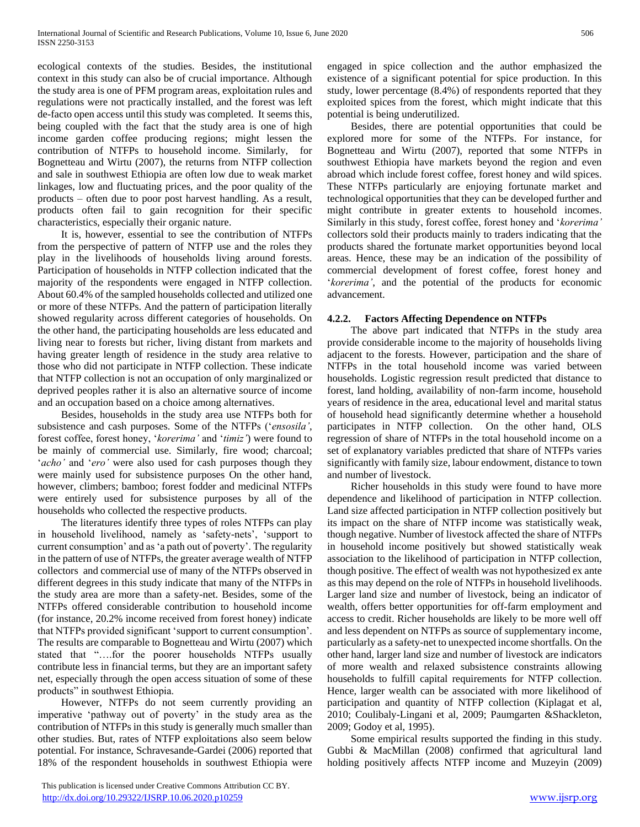ecological contexts of the studies. Besides, the institutional context in this study can also be of crucial importance. Although the study area is one of PFM program areas, exploitation rules and regulations were not practically installed, and the forest was left de-facto open access until this study was completed. It seems this, being coupled with the fact that the study area is one of high income garden coffee producing regions; might lessen the contribution of NTFPs to household income. Similarly, for Bognetteau and Wirtu (2007), the returns from NTFP collection and sale in southwest Ethiopia are often low due to weak market linkages, low and fluctuating prices, and the poor quality of the products – often due to poor post harvest handling. As a result, products often fail to gain recognition for their specific characteristics, especially their organic nature.

 It is, however, essential to see the contribution of NTFPs from the perspective of pattern of NTFP use and the roles they play in the livelihoods of households living around forests. Participation of households in NTFP collection indicated that the majority of the respondents were engaged in NTFP collection. About 60.4% of the sampled households collected and utilized one or more of these NTFPs. And the pattern of participation literally showed regularity across different categories of households. On the other hand, the participating households are less educated and living near to forests but richer, living distant from markets and having greater length of residence in the study area relative to those who did not participate in NTFP collection. These indicate that NTFP collection is not an occupation of only marginalized or deprived peoples rather it is also an alternative source of income and an occupation based on a choice among alternatives.

 Besides, households in the study area use NTFPs both for subsistence and cash purposes. Some of the NTFPs ('*ensosila'*, forest coffee, forest honey, '*korerima'* and '*timiz'*) were found to be mainly of commercial use. Similarly, fire wood; charcoal; '*acho'* and '*ero'* were also used for cash purposes though they were mainly used for subsistence purposes On the other hand, however, climbers; bamboo; forest fodder and medicinal NTFPs were entirely used for subsistence purposes by all of the households who collected the respective products.

 The literatures identify three types of roles NTFPs can play in household livelihood, namely as 'safety-nets', 'support to current consumption' and as 'a path out of poverty'. The regularity in the pattern of use of NTFPs, the greater average wealth of NTFP collectors and commercial use of many of the NTFPs observed in different degrees in this study indicate that many of the NTFPs in the study area are more than a safety-net. Besides, some of the NTFPs offered considerable contribution to household income (for instance, 20.2% income received from forest honey) indicate that NTFPs provided significant 'support to current consumption'. The results are comparable to Bognetteau and Wirtu (2007) which stated that "….for the poorer households NTFPs usually contribute less in financial terms, but they are an important safety net, especially through the open access situation of some of these products" in southwest Ethiopia.

 However, NTFPs do not seem currently providing an imperative 'pathway out of poverty' in the study area as the contribution of NTFPs in this study is generally much smaller than other studies. But, rates of NTFP exploitations also seem below potential. For instance, Schravesande-Gardei (2006) reported that 18% of the respondent households in southwest Ethiopia were

 This publication is licensed under Creative Commons Attribution CC BY. <http://dx.doi.org/10.29322/IJSRP.10.06.2020.p10259> [www.ijsrp.org](http://ijsrp.org/)

engaged in spice collection and the author emphasized the existence of a significant potential for spice production. In this study, lower percentage (8.4%) of respondents reported that they exploited spices from the forest, which might indicate that this potential is being underutilized.

 Besides, there are potential opportunities that could be explored more for some of the NTFPs. For instance, for Bognetteau and Wirtu (2007), reported that some NTFPs in southwest Ethiopia have markets beyond the region and even abroad which include forest coffee, forest honey and wild spices. These NTFPs particularly are enjoying fortunate market and technological opportunities that they can be developed further and might contribute in greater extents to household incomes. Similarly in this study, forest coffee, forest honey and '*korerima'* collectors sold their products mainly to traders indicating that the products shared the fortunate market opportunities beyond local areas. Hence, these may be an indication of the possibility of commercial development of forest coffee, forest honey and '*korerima'*, and the potential of the products for economic advancement.

# **4.2.2. Factors Affecting Dependence on NTFPs**

 The above part indicated that NTFPs in the study area provide considerable income to the majority of households living adjacent to the forests. However, participation and the share of NTFPs in the total household income was varied between households. Logistic regression result predicted that distance to forest, land holding, availability of non-farm income, household years of residence in the area, educational level and marital status of household head significantly determine whether a household participates in NTFP collection. On the other hand, OLS regression of share of NTFPs in the total household income on a set of explanatory variables predicted that share of NTFPs varies significantly with family size, labour endowment, distance to town and number of livestock.

 Richer households in this study were found to have more dependence and likelihood of participation in NTFP collection. Land size affected participation in NTFP collection positively but its impact on the share of NTFP income was statistically weak, though negative. Number of livestock affected the share of NTFPs in household income positively but showed statistically weak association to the likelihood of participation in NTFP collection, though positive. The effect of wealth was not hypothesized ex ante as this may depend on the role of NTFPs in household livelihoods. Larger land size and number of livestock, being an indicator of wealth, offers better opportunities for off-farm employment and access to credit. Richer households are likely to be more well off and less dependent on NTFPs as source of supplementary income, particularly as a safety-net to unexpected income shortfalls. On the other hand, larger land size and number of livestock are indicators of more wealth and relaxed subsistence constraints allowing households to fulfill capital requirements for NTFP collection. Hence, larger wealth can be associated with more likelihood of participation and quantity of NTFP collection (Kiplagat et al, 2010; Coulibaly-Lingani et al, 2009; Paumgarten &Shackleton, 2009; Godoy et al, 1995).

 Some empirical results supported the finding in this study. Gubbi & MacMillan (2008) confirmed that agricultural land holding positively affects NTFP income and Muzeyin (2009)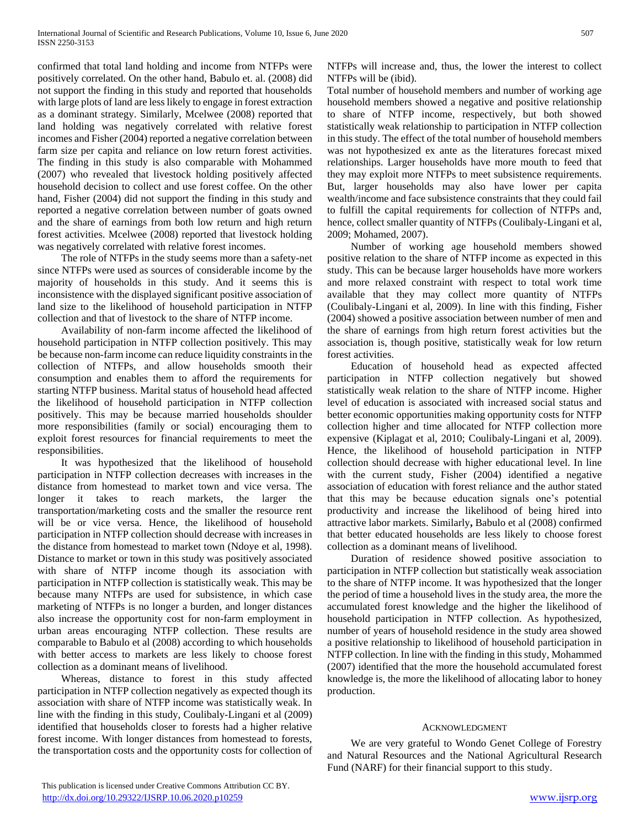confirmed that total land holding and income from NTFPs were positively correlated. On the other hand, Babulo et. al. (2008) did not support the finding in this study and reported that households with large plots of land are less likely to engage in forest extraction as a dominant strategy. Similarly, Mcelwee (2008) reported that land holding was negatively correlated with relative forest incomes and Fisher (2004) reported a negative correlation between farm size per capita and reliance on low return forest activities. The finding in this study is also comparable with Mohammed (2007) who revealed that livestock holding positively affected household decision to collect and use forest coffee. On the other hand, Fisher (2004) did not support the finding in this study and reported a negative correlation between number of goats owned and the share of earnings from both low return and high return forest activities. Mcelwee (2008) reported that livestock holding was negatively correlated with relative forest incomes.

 The role of NTFPs in the study seems more than a safety-net since NTFPs were used as sources of considerable income by the majority of households in this study. And it seems this is inconsistence with the displayed significant positive association of land size to the likelihood of household participation in NTFP collection and that of livestock to the share of NTFP income.

 Availability of non-farm income affected the likelihood of household participation in NTFP collection positively. This may be because non-farm income can reduce liquidity constraints in the collection of NTFPs, and allow households smooth their consumption and enables them to afford the requirements for starting NTFP business. Marital status of household head affected the likelihood of household participation in NTFP collection positively. This may be because married households shoulder more responsibilities (family or social) encouraging them to exploit forest resources for financial requirements to meet the responsibilities.

 It was hypothesized that the likelihood of household participation in NTFP collection decreases with increases in the distance from homestead to market town and vice versa. The longer it takes to reach markets, the larger the transportation/marketing costs and the smaller the resource rent will be or vice versa. Hence, the likelihood of household participation in NTFP collection should decrease with increases in the distance from homestead to market town (Ndoye et al, 1998). Distance to market or town in this study was positively associated with share of NTFP income though its association with participation in NTFP collection is statistically weak. This may be because many NTFPs are used for subsistence, in which case marketing of NTFPs is no longer a burden, and longer distances also increase the opportunity cost for non-farm employment in urban areas encouraging NTFP collection. These results are comparable to Babulo et al (2008) according to which households with better access to markets are less likely to choose forest collection as a dominant means of livelihood.

 Whereas, distance to forest in this study affected participation in NTFP collection negatively as expected though its association with share of NTFP income was statistically weak. In line with the finding in this study, Coulibaly-Lingani et al (2009) identified that households closer to forests had a higher relative forest income. With longer distances from homestead to forests, the transportation costs and the opportunity costs for collection of NTFPs will increase and, thus, the lower the interest to collect NTFPs will be (ibid).

Total number of household members and number of working age household members showed a negative and positive relationship to share of NTFP income, respectively, but both showed statistically weak relationship to participation in NTFP collection in this study. The effect of the total number of household members was not hypothesized ex ante as the literatures forecast mixed relationships. Larger households have more mouth to feed that they may exploit more NTFPs to meet subsistence requirements. But, larger households may also have lower per capita wealth/income and face subsistence constraints that they could fail to fulfill the capital requirements for collection of NTFPs and, hence, collect smaller quantity of NTFPs (Coulibaly-Lingani et al, 2009; Mohamed, 2007).

 Number of working age household members showed positive relation to the share of NTFP income as expected in this study. This can be because larger households have more workers and more relaxed constraint with respect to total work time available that they may collect more quantity of NTFPs (Coulibaly-Lingani et al, 2009). In line with this finding, Fisher (2004) showed a positive association between number of men and the share of earnings from high return forest activities but the association is, though positive, statistically weak for low return forest activities.

 Education of household head as expected affected participation in NTFP collection negatively but showed statistically weak relation to the share of NTFP income. Higher level of education is associated with increased social status and better economic opportunities making opportunity costs for NTFP collection higher and time allocated for NTFP collection more expensive (Kiplagat et al, 2010; Coulibaly-Lingani et al, 2009). Hence, the likelihood of household participation in NTFP collection should decrease with higher educational level. In line with the current study, Fisher (2004) identified a negative association of education with forest reliance and the author stated that this may be because education signals one's potential productivity and increase the likelihood of being hired into attractive labor markets. Similarly**,** Babulo et al (2008) confirmed that better educated households are less likely to choose forest collection as a dominant means of livelihood.

 Duration of residence showed positive association to participation in NTFP collection but statistically weak association to the share of NTFP income. It was hypothesized that the longer the period of time a household lives in the study area, the more the accumulated forest knowledge and the higher the likelihood of household participation in NTFP collection. As hypothesized, number of years of household residence in the study area showed a positive relationship to likelihood of household participation in NTFP collection. In line with the finding in this study, Mohammed (2007) identified that the more the household accumulated forest knowledge is, the more the likelihood of allocating labor to honey production.

## ACKNOWLEDGMENT

 We are very grateful to Wondo Genet College of Forestry and Natural Resources and the National Agricultural Research Fund (NARF) for their financial support to this study.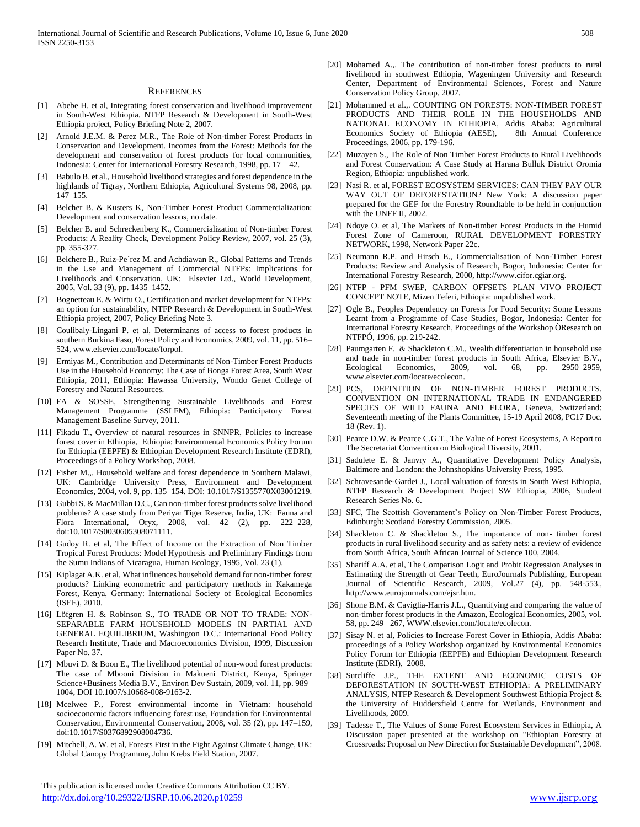#### **REFERENCES**

- [1] Abebe H. et al, Integrating forest conservation and livelihood improvement in South-West Ethiopia. NTFP Research & Development in South-West Ethiopia project, Policy Briefing Note 2, 2007.
- Arnold J.E.M. & Perez M.R., The Role of Non-timber Forest Products in Conservation and Development. Incomes from the Forest: Methods for the development and conservation of forest products for local communities, Indonesia: Center for International Forestry Research, 1998, pp. 17 – 42.
- [3] Babulo B. et al., Household livelihood strategies and forest dependence in the highlands of Tigray, Northern Ethiopia, Agricultural Systems 98, 2008, pp. 147–155.
- [4] Belcher B. & Kusters K, Non-Timber Forest Product Commercialization: Development and conservation lessons, no date.
- [5] Belcher B. and Schreckenberg K., Commercialization of Non-timber Forest Products: A Reality Check, Development Policy Review, 2007, vol. 25 (3), pp. 355-377.
- [6] Belchere B., Ruiz-Pe´rez M. and Achdiawan R., Global Patterns and Trends in the Use and Management of Commercial NTFPs: Implications for Livelihoods and Conservation, UK: Elsevier Ltd., World Development, 2005, Vol. 33 (9), pp. 1435–1452.
- [7] Bognetteau E. & Wirtu O., Certification and market development for NTFPs: an option for sustainability, NTFP Research & Development in South-West Ethiopia project, 2007, Policy Briefing Note 3.
- [8] Coulibaly-Lingani P. et al, Determinants of access to forest products in southern Burkina Faso, Forest Policy and Economics, 2009, vol. 11, pp. 516– 524, www.elsevier.com/locate/forpol.
- [9] Ermiyas M., Contribution and Determinants of Non-Timber Forest Products Use in the Household Economy: The Case of Bonga Forest Area, South West Ethiopia, 2011, Ethiopia: Hawassa University, Wondo Genet College of Forestry and Natural Resources.
- [10] FA & SOSSE, Strengthening Sustainable Livelihoods and Forest Management Programme (SSLFM), Ethiopia: Participatory Forest Management Baseline Survey, 2011.
- [11] Fikadu T., Overview of natural resources in SNNPR, Policies to increase forest cover in Ethiopia, Ethiopia: Environmental Economics Policy Forum for Ethiopia (EEPFE) & Ethiopian Development Research Institute (EDRI), Proceedings of a Policy Workshop, 2008.
- [12] Fisher M.,. Household welfare and forest dependence in Southern Malawi, UK: Cambridge University Press, Environment and Development Economics, 2004, vol. 9, pp. 135–154. DOI: 10.1017/S1355770X03001219.
- [13] Gubbi S. & MacMillan D.C., Can non-timber forest products solve livelihood problems? A case study from Periyar Tiger Reserve, India, UK: Fauna and Flora International, Oryx, 2008, vol. 42 (2), pp. 222–228, doi:10.1017/S0030605308071111.
- [14] Gudoy R. et al, The Effect of Income on the Extraction of Non Timber Tropical Forest Products: Model Hypothesis and Preliminary Findings from the Sumu Indians of Nicaragua, Human Ecology, 1995, Vol. 23 (1).
- [15] Kiplagat A.K. et al, What influences household demand for non-timber forest products? Linking econometric and participatory methods in Kakamega Forest, Kenya, Germany: International Society of Ecological Economics (ISEE), 2010.
- [16] Löfgren H. & Robinson S., TO TRADE OR NOT TO TRADE: NON-SEPARABLE FARM HOUSEHOLD MODELS IN PARTIAL AND GENERAL EQUILIBRIUM, Washington D.C.: International Food Policy Research Institute, Trade and Macroeconomics Division, 1999, Discussion Paper No. 37.
- [17] Mbuvi D. & Boon E., The livelihood potential of non-wood forest products: The case of Mbooni Division in Makueni District, Kenya, Springer Science+Business Media B.V., Environ Dev Sustain, 2009, vol. 11, pp. 989– 1004, DOI 10.1007/s10668-008-9163-2.
- [18] Mcelwee P., Forest environmental income in Vietnam: household socioeconomic factors influencing forest use, Foundation for Environmental Conservation, Environmental Conservation, 2008, vol. 35 (2), pp. 147–159, doi:10.1017/S0376892908004736.
- [19] Mitchell, A. W. et al, Forests First in the Fight Against Climate Change, UK: Global Canopy Programme, John Krebs Field Station, 2007.

 This publication is licensed under Creative Commons Attribution CC BY. <http://dx.doi.org/10.29322/IJSRP.10.06.2020.p10259> [www.ijsrp.org](http://ijsrp.org/)

- [20] Mohamed A.,. The contribution of non-timber forest products to rural livelihood in southwest Ethiopia, Wageningen University and Research Center, Department of Environmental Sciences, Forest and Nature Conservation Policy Group, 2007.
- [21] Mohammed et al.,. COUNTING ON FORESTS: NON-TIMBER FOREST PRODUCTS AND THEIR ROLE IN THE HOUSEHOLDS AND NATIONAL ECONOMY IN ETHIOPIA, Addis Ababa: Agricultural Economics Society of Ethiopia (AESE), 8th Annual Conference Proceedings, 2006, pp. 179-196.
- [22] Muzayen S., The Role of Non Timber Forest Products to Rural Livelihoods and Forest Conservation: A Case Study at Harana Bulluk District Oromia Region, Ethiopia: unpublished work.
- [23] Nasi R. et al, FOREST ECOSYSTEM SERVICES: CAN THEY PAY OUR WAY OUT OF DEFORESTATION? New York: A discussion paper prepared for the GEF for the Forestry Roundtable to be held in conjunction with the UNFF II, 2002.
- [24] Ndoye O. et al, The Markets of Non-timber Forest Products in the Humid Forest Zone of Cameroon, RURAL DEVELOPMENT FORESTRY NETWORK, 1998, Network Paper 22c.
- [25] Neumann R.P. and Hirsch E., Commercialisation of Non-Timber Forest Products: Review and Analysis of Research, Bogor, Indonesia: Center for International Forestry Research, 2000, http://www.cifor.cgiar.org.
- [26] NTFP PFM SWEP, CARBON OFFSETS PLAN VIVO PROJECT CONCEPT NOTE, Mizen Teferi, Ethiopia: unpublished work.
- [27] Ogle B., Peoples Dependency on Forests for Food Security: Some Lessons Learnt from a Programme of Case Studies, Bogor, Indonesia: Center for International Forestry Research, Proceedings of the Workshop ÒResearch on NTFPÓ, 1996, pp. 219-242.
- [28] Paumgarten F. & Shackleton C.M., Wealth differentiation in household use and trade in non-timber forest products in South Africa, Elsevier B.V., Ecological Economics, 2009, vol. 68, pp. 2950–2959, www.elsevier.com/locate/ecolecon.
- [29] PCS, DEFINITION OF NON-TIMBER FOREST PRODUCTS. CONVENTION ON INTERNATIONAL TRADE IN ENDANGERED SPECIES OF WILD FAUNA AND FLORA, Geneva, Switzerland: Seventeenth meeting of the Plants Committee, 15-19 April 2008, PC17 Doc. 18 (Rev. 1).
- [30] Pearce D.W. & Pearce C.G.T., The Value of Forest Ecosystems, A Report to The Secretariat Convention on Biological Diversity, 2001.
- [31] Sadulete E. & Janvry A., Quantitative Development Policy Analysis, Baltimore and London: the Johnshopkins University Press, 1995.
- [32] Schravesande-Gardei J., Local valuation of forests in South West Ethiopia, NTFP Research & Development Project SW Ethiopia, 2006, Student Research Series No. 6.
- [33] SFC, The Scottish Government's Policy on Non-Timber Forest Products, Edinburgh: Scotland Forestry Commission, 2005.
- [34] Shackleton C. & Shackleton S., The importance of non- timber forest products in rural livelihood security and as safety nets: a review of evidence from South Africa, South African Journal of Science 100, 2004.
- [35] Shariff A.A. et al, The Comparison Logit and Probit Regression Analyses in Estimating the Strength of Gear Teeth, EuroJournals Publishing, European Journal of Scientific Research, 2009, Vol.27 (4), pp. 548-553., http://www.eurojournals.com/ejsr.htm.
- [36] Shone B.M. & Caviglia-Harris J.L., Quantifying and comparing the value of non-timber forest products in the Amazon, Ecological Economics, 2005, vol. 58, pp. 249– 267, WWW.elsevier.com/locate/ecolecon.
- [37] Sisay N. et al, Policies to Increase Forest Cover in Ethiopia, Addis Ababa: proceedings of a Policy Workshop organized by Environmental Economics Policy Forum for Ethiopia (EEPFE) and Ethiopian Development Research Institute (EDRI), 2008.
- [38] Sutcliffe J.P., THE EXTENT AND ECONOMIC COSTS OF DEFORESTATION IN SOUTH-WEST ETHIOPIA: A PRELIMINARY ANALYSIS, NTFP Research & Development Southwest Ethiopia Project & the University of Huddersfield Centre for Wetlands, Environment and Livelihoods, 2009.
- [39] Tadesse T., The Values of Some Forest Ecosystem Services in Ethiopia, A Discussion paper presented at the workshop on "Ethiopian Forestry at Crossroads: Proposal on New Direction for Sustainable Development", 2008.